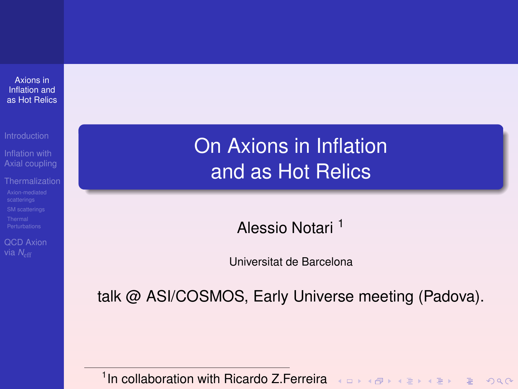<span id="page-0-1"></span><span id="page-0-0"></span>Axions in Inflation and as Hot Relics

[Axial coupling](#page-6-0)

[QCD Axion](#page-87-0)

# On Axions in Inflation and as Hot Relics

Alessio Notari <sup>1</sup>

Universitat de Barcelona

talk @ ASI/COSMOS, Early Universe meeting (Padova).

<sup>1</sup> In collaboration with Ricardo Z.Ferreira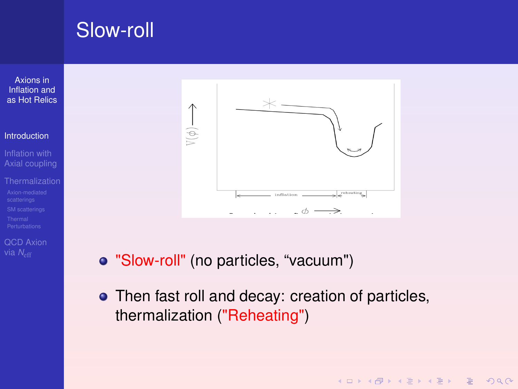# <span id="page-1-0"></span>Slow-roll

Axions in Inflation and [as Hot Relics](#page-0-0)

#### [Introduction](#page-1-0)

- [Axial coupling](#page-6-0)
- 
- [QCD Axion](#page-87-0)



- "Slow-roll" (no particles, "vacuum")
- Then fast roll and decay: creation of particles, thermalization ("Reheating")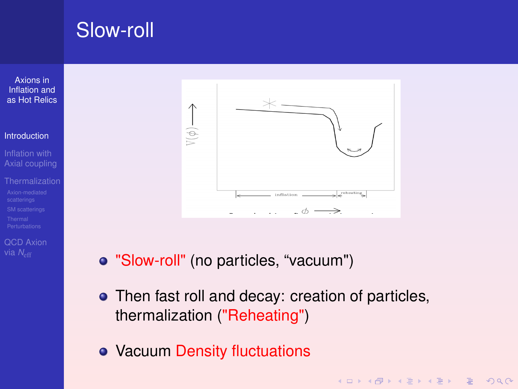# Slow-roll

Axions in Inflation and [as Hot Relics](#page-0-0)

#### [Introduction](#page-1-0)

[Axial coupling](#page-6-0)

[QCD Axion](#page-87-0)



- "Slow-roll" (no particles, "vacuum")
- Then fast roll and decay: creation of particles, thermalization ("Reheating")

**KOD KAD KED KED E VAN** 

Vacuum Density fluctuations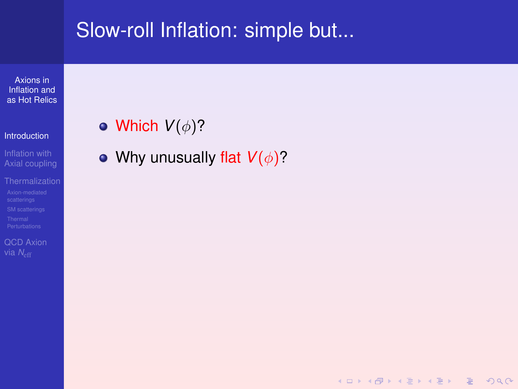### Slow-roll Inflation: simple but...

Axions in Inflation and [as Hot Relics](#page-0-0)

#### [Introduction](#page-1-0)

Inflation with [Axial coupling](#page-6-0)

[QCD Axion](#page-87-0)

• Which  $V(\phi)$ ?

• Why unusually flat  $V(\phi)$ ?

**KOD KAD KED KED E VAN**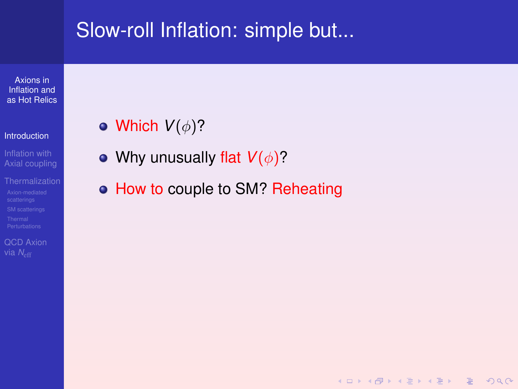### Slow-roll Inflation: simple but...

Axions in Inflation and [as Hot Relics](#page-0-0)

#### [Introduction](#page-1-0)

- Inflation with [Axial coupling](#page-6-0)
- 

[QCD Axion](#page-87-0)

- Which  $V(\phi)$ ?
- Why unusually flat  $V(\phi)$ ?
- How to couple to SM? Reheating

**KOD KAD KED KED E VAN**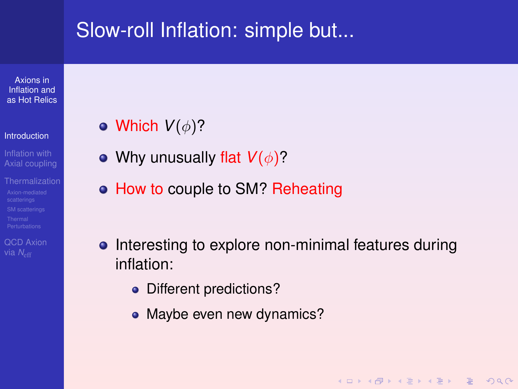### <span id="page-5-0"></span>Slow-roll Inflation: simple but...

Axions in Inflation and [as Hot Relics](#page-0-0)

#### **[Introduction](#page-1-0)**

- [Axial coupling](#page-6-0)
- 

[QCD Axion](#page-87-0)

- Which  $V(\phi)$ ?
- Why unusually flat  $V(\phi)$ ?
- How to couple to SM? Reheating
- Interesting to explore non-minimal features during inflation:

KO KA KO KERKER KONG

- Different predictions?
- Maybe even new dynamics?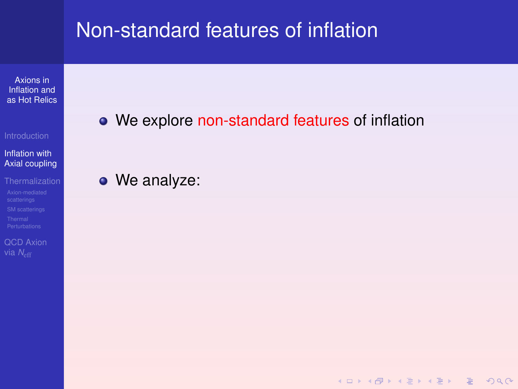<span id="page-6-0"></span>Axions in Inflation and [as Hot Relics](#page-0-0)

Inflation with [Axial coupling](#page-6-0)

[QCD Axion](#page-87-0)

We explore non-standard features of inflation

**KOD KAD KED KED E VAN** 

• We analyze: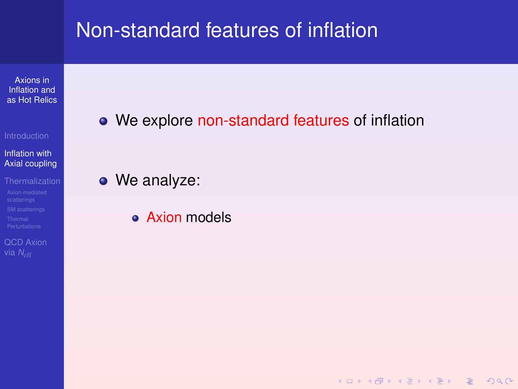Axions in Inflation and [as Hot Relics](#page-0-0)

#### Inflation with [Axial coupling](#page-6-0)

[QCD Axion](#page-87-0)

We explore non-standard features of inflation

• We analyze:

• Axion models

**KOD KAD KED KED E VAN**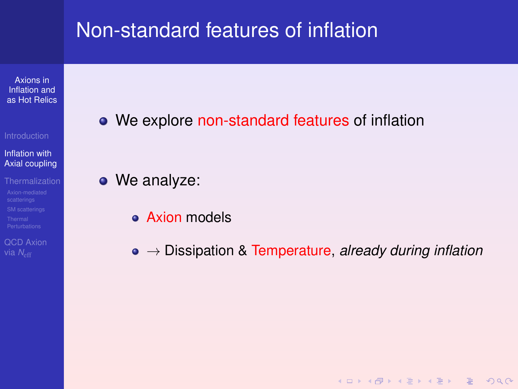Axions in Inflation and [as Hot Relics](#page-0-0)

Inflation with [Axial coupling](#page-6-0)

[QCD Axion](#page-87-0)

• We explore non-standard features of inflation

• We analyze:

- Axion models
- → Dissipation & Temperature, *already during inflation*

KO KA KO KERKER KONG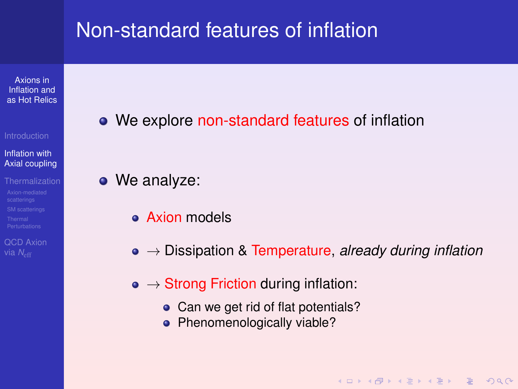Axions in Inflation and [as Hot Relics](#page-0-0)

#### Inflation with [Axial coupling](#page-6-0)

[QCD Axion](#page-87-0) via *N<sub>eff</sub>* 

• We explore non-standard features of inflation

• We analyze:

- Axion models
- → Dissipation & Temperature, *already during inflation*

**KOD KAD KED KED E VAN** 

- $\bullet \rightarrow$  Strong Friction during inflation:
	- Can we get rid of flat potentials?
	- Phenomenologically viable?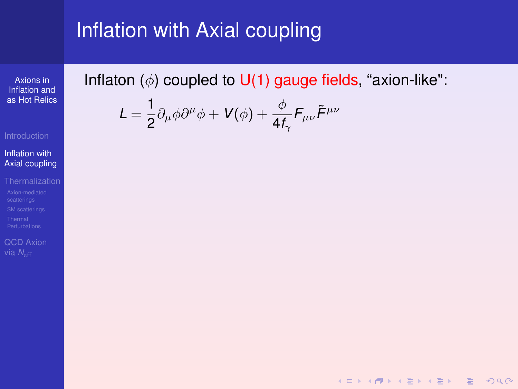Axions in Inflation and [as Hot Relics](#page-0-0)

#### Inflation with [Axial coupling](#page-6-0)

[QCD Axion](#page-87-0)

Inflaton  $(\phi)$  coupled to U(1) gauge fields, "axion-like":

K ロ ▶ K @ ▶ K 할 ▶ K 할 ▶ | 할 | © Q Q @

$$
\mathcal{L}=\frac{1}{2}\partial_{\mu}\phi\partial^{\mu}\phi+V(\phi)+\frac{\phi}{4f_{\gamma}}F_{\mu\nu}\tilde{F}^{\mu\nu}
$$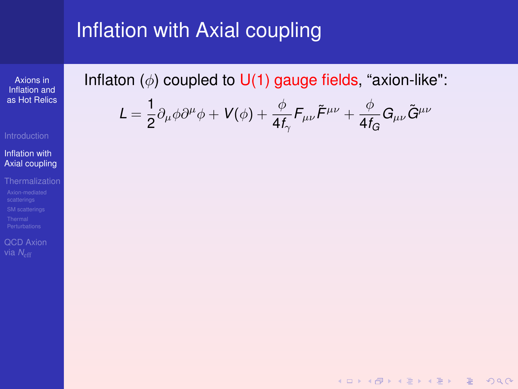Axions in Inflation and [as Hot Relics](#page-0-0)

#### Inflation with [Axial coupling](#page-6-0)

[QCD Axion](#page-87-0)

Inflaton  $(\phi)$  coupled to U(1) gauge fields, "axion-like":

$$
\mathcal{L} = \frac{1}{2} \partial_{\mu} \phi \partial^{\mu} \phi + V(\phi) + \frac{\phi}{4 f_{\gamma}} F_{\mu \nu} \tilde{F}^{\mu \nu} + \frac{\phi}{4 f_{G}} G_{\mu \nu} \tilde{G}^{\mu \nu}
$$

K ロ ▶ K @ ▶ K 할 ▶ K 할 ▶ | 할 | © Q Q @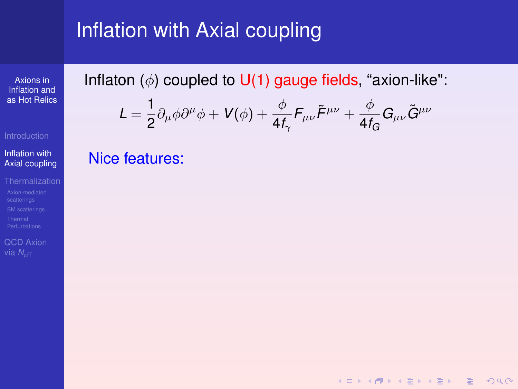Axions in Inflation and [as Hot Relics](#page-0-0)

#### Inflation with [Axial coupling](#page-6-0)

[QCD Axion](#page-87-0)

Inflaton  $(\phi)$  coupled to U(1) gauge fields, "axion-like":

$$
L = \frac{1}{2} \partial_{\mu} \phi \partial^{\mu} \phi + V(\phi) + \frac{\phi}{4f_{\gamma}} F_{\mu\nu} \tilde{F}^{\mu\nu} + \frac{\phi}{4f_{G}} G_{\mu\nu} \tilde{G}^{\mu\nu}
$$

**KOD KAD KED KED E VAN** 

Nice features: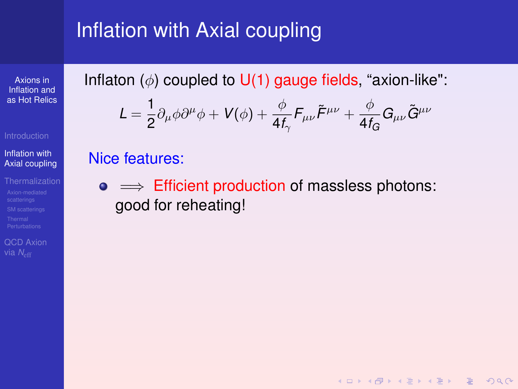Axions in Inflation and [as Hot Relics](#page-0-0)

#### Inflation with [Axial coupling](#page-6-0)

[QCD Axion](#page-87-0)

Inflaton  $(\phi)$  coupled to U(1) gauge fields, "axion-like":

$$
L = \frac{1}{2} \partial_{\mu} \phi \partial^{\mu} \phi + V(\phi) + \frac{\phi}{4f_{\gamma}} F_{\mu\nu} \tilde{F}^{\mu\nu} + \frac{\phi}{4f_{G}} G_{\mu\nu} \tilde{G}^{\mu\nu}
$$

#### Nice features:

 $\bullet \implies$  Efficient production of massless photons: good for reheating!

**KOD KAD KED KED E VAN**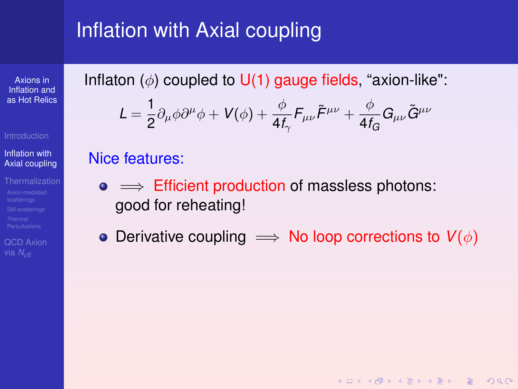Axions in Inflation and [as Hot Relics](#page-0-0)

#### Inflation with [Axial coupling](#page-6-0)

[QCD Axion](#page-87-0)

Inflaton  $(\phi)$  coupled to U(1) gauge fields, "axion-like":

$$
L = \frac{1}{2} \partial_{\mu} \phi \partial^{\mu} \phi + V(\phi) + \frac{\phi}{4f_{\gamma}} F_{\mu\nu} \tilde{F}^{\mu\nu} + \frac{\phi}{4f_{G}} G_{\mu\nu} \tilde{G}^{\mu\nu}
$$

#### Nice features:

- $\bullet \implies$  Efficient production of massless photons: good for reheating!
- Derivative coupling  $\implies$  No loop corrections to  $V(\phi)$

KO KA KO KERKER KONG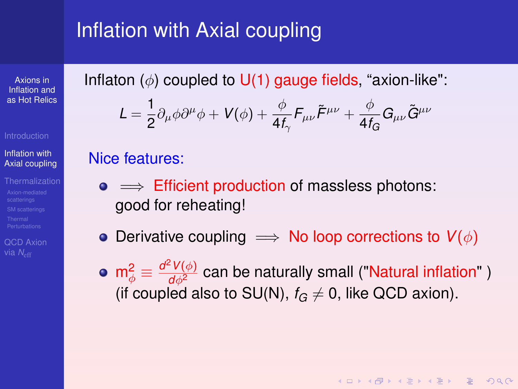Axions in Inflation and [as Hot Relics](#page-0-0)

#### Inflation with [Axial coupling](#page-6-0)

[QCD Axion](#page-87-0) via *N<sub>e</sub>* 

<span id="page-15-0"></span>Inflaton  $(\phi)$  coupled to U(1) gauge fields, "axion-like":

$$
L = \frac{1}{2} \partial_{\mu} \phi \partial^{\mu} \phi + V(\phi) + \frac{\phi}{4f_{\gamma}} F_{\mu\nu} \tilde{F}^{\mu\nu} + \frac{\phi}{4f_{G}} G_{\mu\nu} \tilde{G}^{\mu\nu}
$$

#### Nice features:

- $\bullet \implies$  Efficient production of massless photons: good for reheating!
- Derivative coupling  $\implies$  No loop corrections to  $V(\phi)$
- ${\sf m}_{\phi}^2\equiv\frac{d^2V(\phi)}{d\phi^2}$  can be naturally small ("Natural inflation" ) (if coupled also to SU(N),  $f_G \neq 0$ , like QCD axion).

**KOD KAD KED KED E VAN**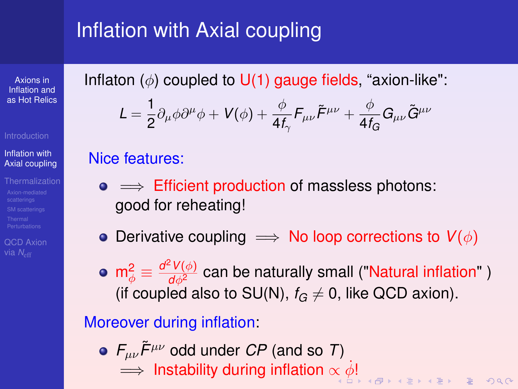Axions in Inflation and [as Hot Relics](#page-0-0)

#### Inflation with [Axial coupling](#page-6-0)

[QCD Axion](#page-87-0)

<span id="page-16-0"></span>Inflaton  $(\phi)$  coupled to U(1) gauge fields, "axion-like":

$$
L = \frac{1}{2} \partial_{\mu} \phi \partial^{\mu} \phi + V(\phi) + \frac{\phi}{4f_{\gamma}} F_{\mu\nu} \tilde{F}^{\mu\nu} + \frac{\phi}{4f_{G}} G_{\mu\nu} \tilde{G}^{\mu\nu}
$$

#### Nice features:

- $\bullet \implies$  Efficient production of massless photons: good for reheating!
- Derivative coupling  $\implies$  No loop corrections to  $V(\phi)$
- ${\sf m}_{\phi}^2\equiv\frac{d^2V(\phi)}{d\phi^2}$  can be naturally small ("Natural inflation" ) (if coupled also to SU(N),  $f_G \neq 0$ , like QCD axion).

### Moreover during inflation:

 $\bullet$   $F_{\mu\nu}\tilde{F}^{\mu\nu}$  odd under *CP* (and so *T*)  $\implies$  Instability during inflation  $\propto \dot{\phi}!$  $\propto \dot{\phi}!$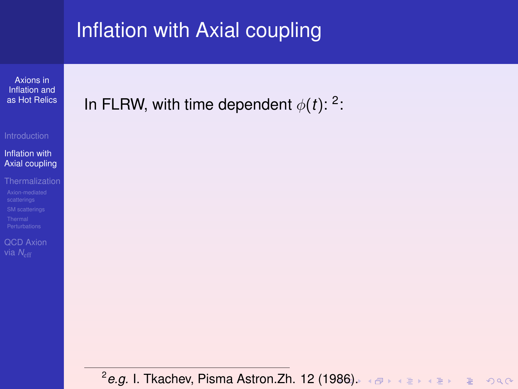Axions in Inflation and [as Hot Relics](#page-0-0)

Inflation with [Axial coupling](#page-6-0)

[QCD Axion](#page-87-0)

<span id="page-17-0"></span>In FLRW, with time dependent  $\phi(t)$ : <sup>2</sup>:

2 *e.g.* I. Tkachev, Pisma Astron.Zh. 12 (1[986](#page-16-0)[\).](#page-18-0)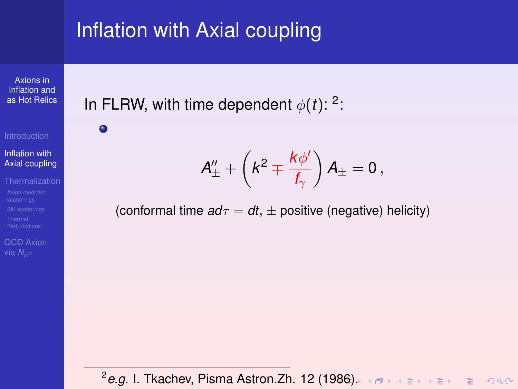Axions in Inflation and [as Hot Relics](#page-0-0)

 $\bullet$ 

Inflation with [Axial coupling](#page-6-0)

[QCD Axion](#page-87-0)

<span id="page-18-0"></span>In FLRW, with time dependent  $\phi(t)$ : <sup>2</sup>:

 $A_\pm^{\prime\prime}+\left(k^2\mp\frac{k\phi^{\prime}}{f}\right)$  $f_\gamma$  $\Big) A_{\pm} = 0 \, ,$ 

(conformal time  $a d\tau = dt$ ,  $\pm$  positive (negative) helicity)

2 *e.g.* I. Tkachev, Pisma Astron.Zh. 12 (1[986](#page-17-0)[\).](#page-19-0)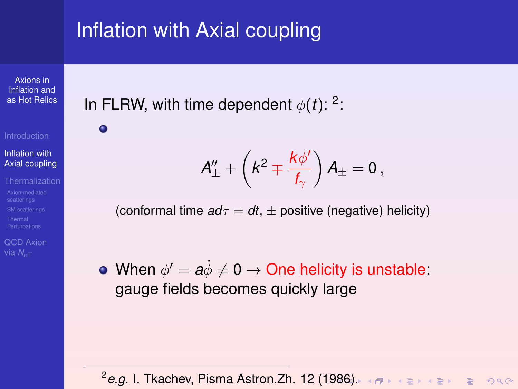Axions in Inflation and [as Hot Relics](#page-0-0)

 $\bullet$ 

Inflation with [Axial coupling](#page-6-0)

[QCD Axion](#page-87-0)

<span id="page-19-0"></span>In FLRW, with time dependent  $\phi(t)$ : <sup>2</sup>:

 $A_\pm^{\prime\prime}+\left(k^2\mp\frac{k\phi^{\prime}}{f}\right)$  $f_\gamma$  $\Big) A_{\pm} = 0 \, ,$ 

(conformal time  $a d\tau = dt$ ,  $\pm$  positive (negative) helicity)

When  $\phi' = a\dot{\phi} \neq 0 \rightarrow$  One helicity is unstable: gauge fields becomes quickly large

2 *e.g.* I. Tkachev, Pisma Astron.Zh. 12 (1[986](#page-18-0)[\).](#page-20-0)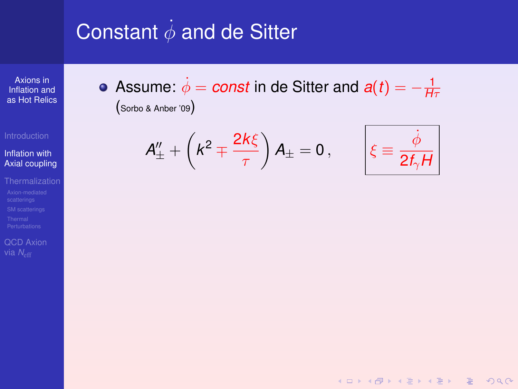# <span id="page-20-0"></span>Constant  $\dot{\phi}$  and de Sitter

Axions in Inflation and [as Hot Relics](#page-0-0)

Inflation with [Axial coupling](#page-6-0)

[QCD Axion](#page-87-0)

Assume:  $\dot{\phi} = const$  in de Sitter and  $a(t) = -\frac{1}{H\tau}$ (Sorbo & Anber '09)

$$
A''_{\pm} + \left(k^2 \mp \frac{2k\xi}{\tau}\right)A_{\pm} = 0\,,\qquad \bigg|\xi \equiv
$$



K ロ ▶ K @ ▶ K 할 ▶ K 할 ▶ | 할 | © 9 Q @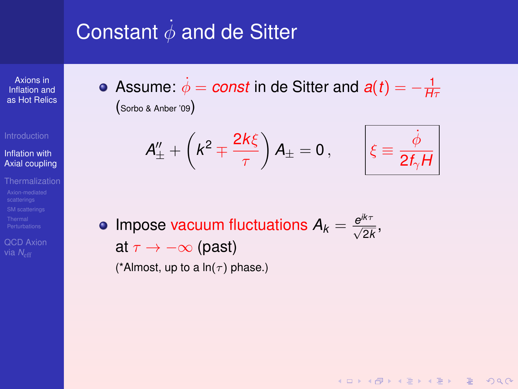# Constant  $\dot{\phi}$  and de Sitter

Axions in Inflation and [as Hot Relics](#page-0-0)

Inflation with [Axial coupling](#page-6-0)

[QCD Axion](#page-87-0)

Assume:  $\dot{\phi} = const$  in de Sitter and  $a(t) = -\frac{1}{H\tau}$ (Sorbo & Anber '09)

$$
A''_{\pm} + \left(k^2 \mp \frac{2k\xi}{\tau}\right) A_{\pm} = 0, \qquad \left|\xi \equiv \frac{\dot{\phi}}{2f_{\gamma}H}\right|
$$

**KORKARA REAKER ORA** 

Impose vacuum fluctuations  $A_k = \frac{e^{ik\tau}}{\sqrt{2k}}$ , at  $\tau \to -\infty$  (past) (\*Almost, up to a  $ln(\tau)$  phase.)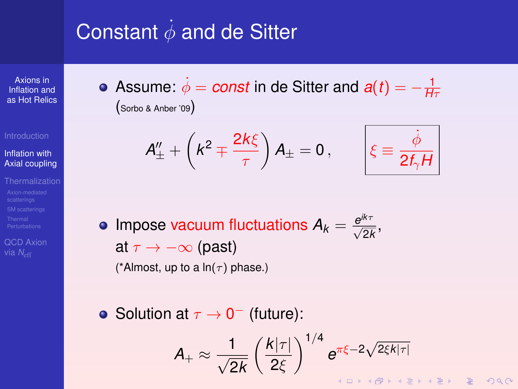# <span id="page-22-0"></span>Constant  $\dot{\phi}$  and de Sitter

Axions in Inflation and [as Hot Relics](#page-0-0)

Inflation with [Axial coupling](#page-6-0)

[QCD Axion](#page-87-0)

Assume:  $\dot{\phi} = const$  in de Sitter and  $a(t) = -\frac{1}{H\tau}$ (Sorbo & Anber '09)

$$
A''_{\pm} + \left(k^2 \mp \frac{2k\xi}{\tau}\right) A_{\pm} = 0, \qquad \left|\xi \equiv \frac{\dot{\phi}}{2f_{\gamma}H}\right|
$$

- Impose vacuum fluctuations  $A_k = \frac{e^{ik\tau}}{\sqrt{2k}}$ , at  $\tau \to -\infty$  (past) (\*Almost, up to a  $ln(\tau)$  phase.)
- Solution at  $\tau \to 0^-$  (future):

$$
A_{+} \approx \frac{1}{\sqrt{2k}} \left(\frac{k|\tau|}{2\xi}\right)^{1/4} e^{\pi \xi - 2\sqrt{2\xi k|\tau|}}
$$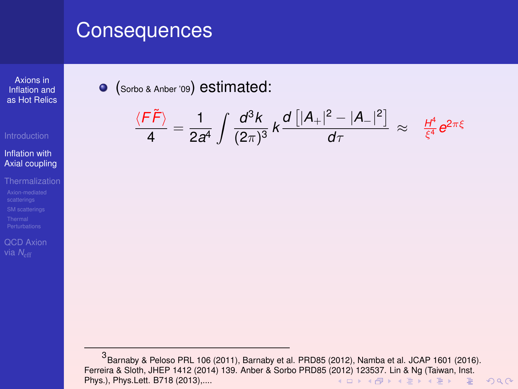Axions in Inflation and [as Hot Relics](#page-0-0)

#### Inflation with [Axial coupling](#page-6-0)

[QCD Axion](#page-87-0)

### <span id="page-23-0"></span>(Sorbo & Anber '09) estimated:

$$
\frac{\langle F\widetilde{F}\rangle}{4}=\frac{1}{2a^4}\int\frac{d^3k}{(2\pi)^3}\,k\frac{d\left[|A_+|^2-|A_-|^2\right]}{d\tau}\,\approx\, \frac{H^4}{\xi^4}e^{2\pi\xi}
$$

<sup>3</sup> Barnaby & Peloso PRL 106 (2011), Barnaby et al. PRD85 (2012), Namba et al. JCAP 1601 (2016). Ferreira & Sloth, JHEP 1412 ([201](#page-22-0)4) 139. Anber & Sorbo PRD85 (2012) [12](#page-24-0)[35](#page-22-0)[3](#page-23-0)[7.](#page-27-0) [L](#page-28-0)[in](#page-5-0) [&](#page-6-0) [N](#page-30-0)[g](#page-31-0) [\(T](#page-5-0)[ai](#page-6-0)[wa](#page-30-0)[n](#page-31-0)[, Ins](#page-0-0)[t.](#page-0-1)<br>Phys.), Phys.Lett. B718 (2013)..... Phys.), Phys.Lett. B718 (2013),....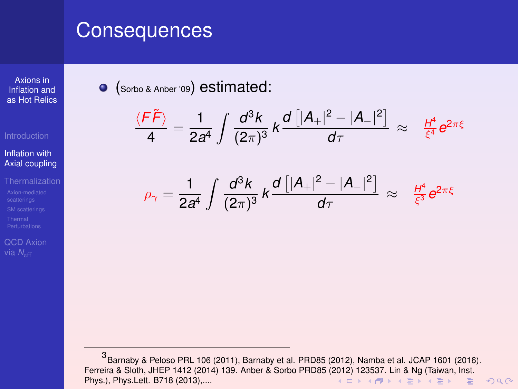Axions in Inflation and [as Hot Relics](#page-0-0)

#### Inflation with [Axial coupling](#page-6-0)

[QCD Axion](#page-87-0)

<span id="page-24-0"></span>(Sorbo & Anber '09) estimated:

$$
\frac{\langle F\widetilde{F}\rangle}{4}=\frac{1}{2a^4}\int\frac{d^3k}{(2\pi)^3}\,k\frac{d\left[|A_+|^2-|A_-|^2\right]}{d\tau}\,\approx\, \frac{H^4}{\xi^4}e^{2\pi\xi}
$$

$$
\rho_{\gamma} = \frac{1}{2a^4} \int \frac{d^3k}{(2\pi)^3} k \frac{d \left[ |A_+|^2 - |A_-|^2 \right]}{d\tau} \approx \frac{H^4}{\xi^3} e^{2\pi\xi}
$$

<sup>3</sup> Barnaby & Peloso PRL 106 (2011), Barnaby et al. PRD85 (2012), Namba et al. JCAP 1601 (2016). Ferreira & Sloth, JHEP 1412 ([201](#page-23-0)4) 139. Anber & Sorbo PRD85 (2012) [12](#page-25-0)[35](#page-22-0)[3](#page-23-0)[7.](#page-27-0) [L](#page-28-0)[in](#page-5-0) [&](#page-6-0) [N](#page-30-0)[g](#page-31-0) [\(T](#page-5-0)[ai](#page-6-0)[wa](#page-30-0)[n](#page-31-0)[, Ins](#page-0-0)[t.](#page-0-1)<br>Phys.), Phys.Lett. B718 (2013)..... Phys.), Phys.Lett. B718 (2013),....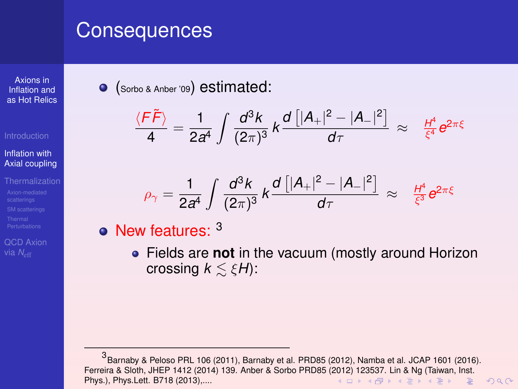Axions in Inflation and [as Hot Relics](#page-0-0)

#### Inflation with [Axial coupling](#page-6-0)

[QCD Axion](#page-87-0)

<span id="page-25-0"></span>(Sorbo & Anber '09) estimated:

$$
\frac{\langle F\widetilde{F}\rangle}{4}=\frac{1}{2a^4}\int\frac{d^3k}{(2\pi)^3}\,k\frac{d\left[|A_+|^2-|A_-|^2\right]}{d\tau}\,\approx\, \frac{H^4}{\xi^4}e^{2\pi\xi}
$$

$$
\rho_{\gamma} = \frac{1}{2a^4} \int \frac{d^3k}{(2\pi)^3} k \frac{d \left[ |A_+|^2 - |A_-|^2 \right]}{d\tau} \approx \frac{H^4}{\xi^3} e^{2\pi\xi}
$$

 $\bullet$  New features:  $3$ 

Fields are **not** in the vacuum (mostly around Horizon crossing  $k \leq \xi H$ ):

<sup>3</sup> Barnaby & Peloso PRL 106 (2011), Barnaby et al. PRD85 (2012), Namba et al. JCAP 1601 (2016). Ferreira & Sloth, JHEP 1412 ([201](#page-24-0)4) 139. Anber & Sorbo PRD85 (2012) [12](#page-26-0)[35](#page-22-0)[3](#page-23-0)[7.](#page-27-0) [L](#page-28-0)[in](#page-5-0) [&](#page-6-0) [N](#page-30-0)[g](#page-31-0) [\(T](#page-5-0)[ai](#page-6-0)[wa](#page-30-0)[n](#page-31-0)[, Ins](#page-0-0)[t.](#page-0-1)<br>Phys.), Phys.Lett. B718 (2013)..... Phys.), Phys.Lett. B718 (2013),....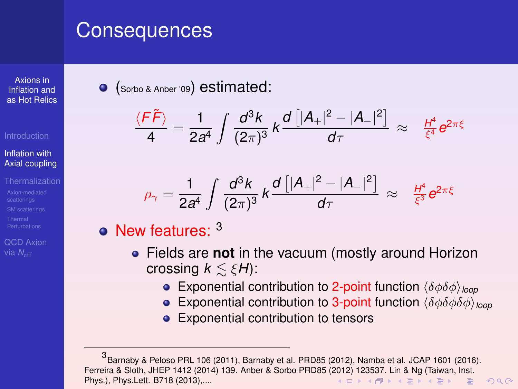Axions in Inflation and [as Hot Relics](#page-0-0)

#### Inflation with [Axial coupling](#page-6-0)

[QCD Axion](#page-87-0) via *N<sub>eff</sub>* 

<span id="page-26-0"></span>(Sorbo & Anber '09) estimated:

$$
\frac{\langle F\widetilde{F}\rangle}{4}=\frac{1}{2a^4}\int\frac{d^3k}{(2\pi)^3}\,k\frac{d\left[|A_+|^2-|A_-|^2\right]}{d\tau}\,\approx\, \frac{H^4}{\xi^4}e^{2\pi\xi}
$$

$$
\rho_{\gamma} = \frac{1}{2a^4} \int \frac{d^3k}{(2\pi)^3} k \frac{d \left[ |A_+|^2 - |A_-|^2 \right]}{d\tau} \approx \frac{H^4}{\xi^3} e^{2\pi\xi}
$$

 $\bullet$  New features:  $3$ 

- Fields are **not** in the vacuum (mostly around Horizon crossing  $k \leq \xi H$ ):
	- **Exponential contribution to 2-point function**  $\langle \delta \phi \delta \phi \rangle_{\text{loop}}$
	- **Exponential contribution to 3-point function**  $\langle \delta \phi \delta \phi \rangle_{\text{loop}}$
	- **Exponential contribution to tensors**

<sup>3</sup> Barnaby & Peloso PRL 106 (2011), Barnaby et al. PRD85 (2012), Namba et al. JCAP 1601 (2016). Ferreira & Sloth, JHEP 1412 (2014) 139. Anber & Sorbo PRD85 ([201](#page-25-0)2) [12](#page-27-0)[35](#page-22-0)[3](#page-23-0)[7.](#page-27-0) [L](#page-28-0)[in](#page-5-0) [&](#page-6-0) [N](#page-30-0)[g](#page-31-0) [\(T](#page-5-0)[ai](#page-6-0)[wa](#page-30-0)[n](#page-31-0)[, Ins](#page-0-0)[t.](#page-0-1) Phys.), Phys.Lett. B718 (2013),....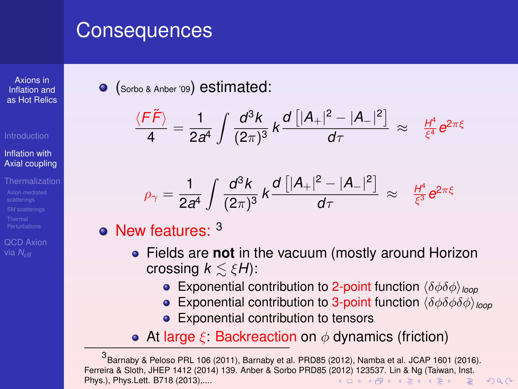Axions in Inflation and [as Hot Relics](#page-0-0)

#### Inflation with [Axial coupling](#page-6-0)

[QCD Axion](#page-87-0) via *N<sub>eff</sub>* 

<span id="page-27-0"></span>(Sorbo & Anber '09) estimated:

$$
\frac{\langle F\widetilde{F}\rangle}{4}=\frac{1}{2a^4}\int\frac{d^3k}{(2\pi)^3}\,k\frac{d\left[|A_+|^2-|A_-|^2\right]}{d\tau}\,\approx\, \frac{H^4}{\xi^4}e^{2\pi\xi}
$$

$$
\rho_{\gamma} = \frac{1}{2a^4} \int \frac{d^3k}{(2\pi)^3} k \frac{d \left[ |A_+|^2 - |A_-|^2 \right]}{d\tau} \approx \frac{H^4}{\xi^3} e^{2\pi\xi}
$$

 $\bullet$  New features:  $3$ 

- Fields are **not** in the vacuum (mostly around Horizon crossing  $k \leq \xi H$ ):
	- **Exponential contribution to 2-point function**  $\langle \delta \phi \delta \phi \rangle_{\text{loop}}$
	- **Exponential contribution to 3-point function**  $\langle \delta \phi \delta \phi \rangle_{\text{loop}}$
	- **Exponential contribution to tensors**
- At large  $\xi$ : Backreaction on  $\phi$  dynamics (friction)

<sup>3</sup> Barnaby & Peloso PRL 106 (2011), Barnaby et al. PRD85 (2012), Namba et al. JCAP 1601 (2016). Ferreira & Sloth, JHEP 1412 (2014) 139. Anber & Sorbo PRD85 ([201](#page-26-0)2) [12](#page-28-0)[35](#page-22-0)[3](#page-23-0)[7.](#page-27-0) [L](#page-28-0)[in](#page-5-0) [&](#page-6-0) [N](#page-30-0)[g](#page-31-0) [\(T](#page-5-0)[ai](#page-6-0)[wa](#page-30-0)[n](#page-31-0)[, Ins](#page-0-0)[t.](#page-0-1) Phys.), Phys.Lett. B718 (2013),....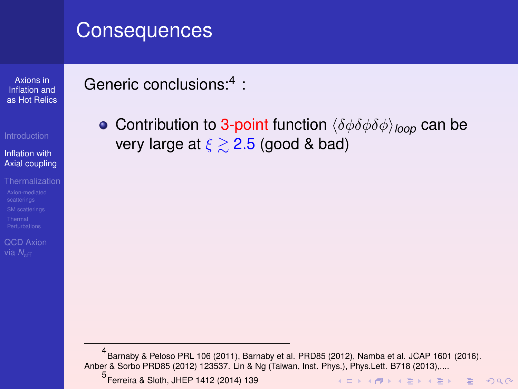Axions in Inflation and [as Hot Relics](#page-0-0)

#### Inflation with [Axial coupling](#page-6-0)

[QCD Axion](#page-87-0)

### <span id="page-28-0"></span>Generic conclusions:<sup>4</sup> :

**• Contribution to 3-point function**  $\langle \delta \phi \delta \phi \delta \phi \rangle_{\text{loop}}$  can be very large at  $\xi \geq 2.5$  (good & bad)

4 Barnaby & Peloso PRL 106 (2011), Barnaby et al. PRD85 (2012), Namba et al. JCAP 1601 (2016). Anber & Sorbo PRD85 (2012) 123537. Lin & Ng (Taiwan, Inst. Phys.), Phys.Lett. B718 (2013),....

5 Ferreira & Sloth, JHEP 1412 (2014) 139

K ロ ▶ K @ ▶ K 할 ▶ K 할 ▶ | 할 | © 9 Q @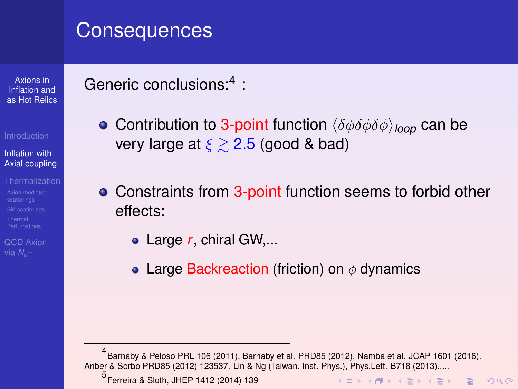Axions in Inflation and [as Hot Relics](#page-0-0)

#### Inflation with [Axial coupling](#page-6-0)

[QCD Axion](#page-87-0) via *N<sub>eff</sub>* 

### Generic conclusions:<sup>4</sup> :

- **Contribution to 3-point function**  $\langle \delta \phi \delta \phi \delta \phi \rangle_{\text{loop}}$  can be very large at  $\xi \geq 2.5$  (good & bad)
- Constraints from 3-point function seems to forbid other effects:
	- Large *r*, chiral GW,...
	- Large Backreaction (friction) on  $\phi$  dynamics

4 Barnaby & Peloso PRL 106 (2011), Barnaby et al. PRD85 (2012), Namba et al. JCAP 1601 (2016). Anber & Sorbo PRD85 (2012) 123537. Lin & Ng (Taiwan, Inst. Phys.), Phys. Lett. B718 (2013)

5 Ferreira & Sloth, JHEP 1412 (2014) 139

**KORKARA REAKER ORA**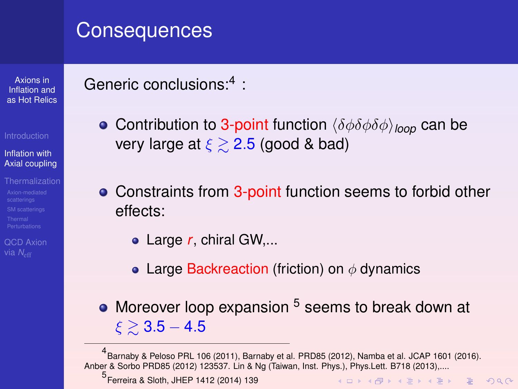Axions in Inflation and [as Hot Relics](#page-0-0)

#### Inflation with [Axial coupling](#page-6-0)

[QCD Axion](#page-87-0) via *N<sub>eff</sub>* 

## <span id="page-30-0"></span>Generic conclusions:<sup>4</sup> :

- **Contribution to 3-point function**  $\langle \delta \phi \delta \phi \delta \phi \rangle_{\text{loop}}$  can be very large at  $\xi \geq 2.5$  (good & bad)
- Constraints from 3-point function seems to forbid other effects:
	- Large *r*, chiral GW,...
	- Large Backreaction (friction) on  $\phi$  dynamics
- Moreover loop expansion <sup>5</sup> seems to break down at  $\xi \gtrsim 3.5 - 4.5$

5 Ferreira & Sloth, JHEP 1412 (2014) 139

<sup>4</sup> Barnaby & Peloso PRL 106 (2011), Barnaby et al. PRD85 (2012), Namba et al. JCAP 1601 (2016). Anber & Sorbo PRD85 (2012) 123537. Lin & Ng (Taiwan, Inst. Phys.), Phys.Lett. B718 (2013),....

KO KA KO KERKER KONG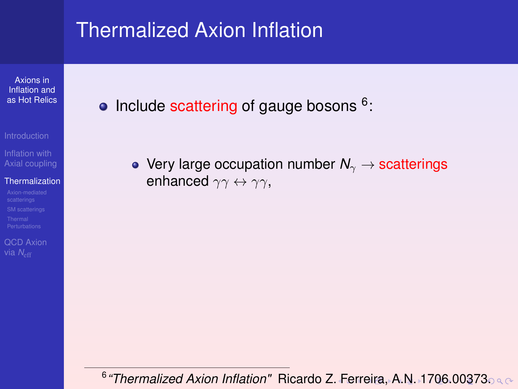Axions in Inflation and [as Hot Relics](#page-0-0)

Inflation with [Axial coupling](#page-6-0)

#### **[Thermalization](#page-31-0)**

[QCD Axion](#page-87-0)

<span id="page-31-0"></span>Include scattering of gauge bosons <sup>6</sup>:

• Very large occupation number  $N_\gamma \to$  scatterings enhanced  $\gamma\gamma \leftrightarrow \gamma\gamma$ ,

<sup>6</sup> *"Thermalized Axion Inflation"* Ricardo Z[. F](#page-30-0)[err](#page-32-0)[ei](#page-30-0)[r](#page-31-0)[a,](#page-34-0)[A.](#page-30-0)[N](#page-31-0)[.](#page-43-0) [1](#page-44-0)[7](#page-30-0)[0](#page-31-0)[6](#page-86-0)[.](#page-87-0)[00](#page-0-0)[373](#page-0-1).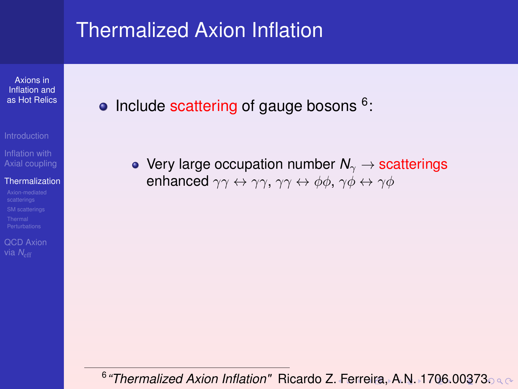Axions in Inflation and [as Hot Relics](#page-0-0)

[Axial coupling](#page-6-0)

#### [Thermalization](#page-31-0)

[QCD Axion](#page-87-0)

<span id="page-32-0"></span>Include scattering of gauge bosons <sup>6</sup>:

• Very large occupation number  $N_\gamma \to$  scatterings enhanced  $\gamma\gamma \leftrightarrow \gamma\gamma$ ,  $\gamma\gamma \leftrightarrow \phi\phi$ ,  $\gamma\phi \leftrightarrow \gamma\phi$ 

6 *"Thermalized Axion Inflation"* Ricardo Z[. F](#page-31-0)[err](#page-33-0)[ei](#page-30-0)[r](#page-31-0)[a,](#page-34-0)[A.](#page-30-0)[N](#page-31-0)[.](#page-43-0) [1](#page-44-0)[7](#page-30-0)[0](#page-31-0)[6](#page-86-0)[.](#page-87-0)[00](#page-0-0)[373](#page-0-1).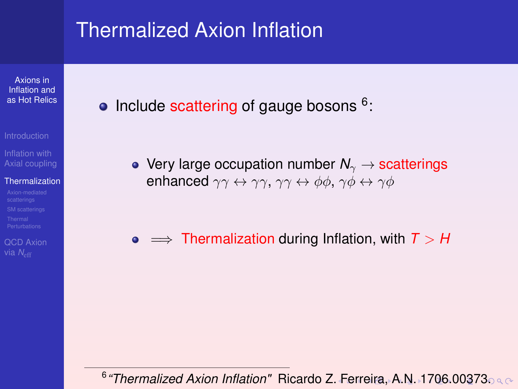Axions in Inflation and [as Hot Relics](#page-0-0)

- 
- [Axial coupling](#page-6-0)

#### [Thermalization](#page-31-0)

[QCD Axion](#page-87-0) via *N<sub>e</sub>* 

<span id="page-33-0"></span>Include scattering of gauge bosons <sup>6</sup>:

• Very large occupation number  $N_\gamma \rightarrow$  scatterings enhanced  $\gamma\gamma \leftrightarrow \gamma\gamma$ ,  $\gamma\gamma \leftrightarrow \phi\phi$ ,  $\gamma\phi \leftrightarrow \gamma\phi$ 

 $\bullet \implies$  Thermalization during Inflation, with  $T > H$ 

<sup>6</sup> *"Thermalized Axion Inflation"* Ricardo Z[. F](#page-32-0)[err](#page-34-0)[ei](#page-30-0)[r](#page-31-0)[a,](#page-34-0)[A.](#page-30-0)[N](#page-31-0)[.](#page-43-0) [1](#page-44-0)[7](#page-30-0)[0](#page-31-0)[6](#page-86-0)[.](#page-87-0)[00](#page-0-0)[373](#page-0-1).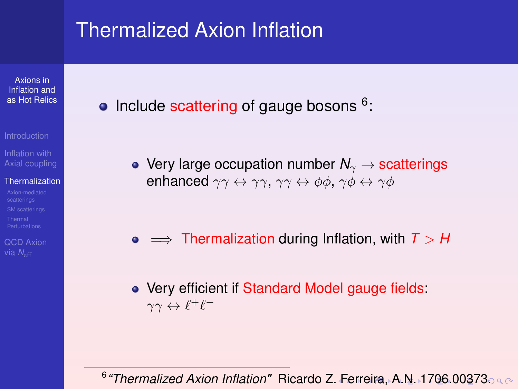Axions in Inflation and [as Hot Relics](#page-0-0)

- 
- [Axial coupling](#page-6-0)

#### [Thermalization](#page-31-0)

- 
- [QCD Axion](#page-87-0) via *N<sub>e</sub>*
- <span id="page-34-0"></span>Include scattering of gauge bosons <sup>6</sup>:
	- Very large occupation number  $N_{\gamma} \rightarrow$  scatterings enhanced  $\gamma\gamma \leftrightarrow \gamma\gamma$ ,  $\gamma\gamma \leftrightarrow \phi\phi$ ,  $\gamma\phi \leftrightarrow \gamma\phi$

- $\bullet \implies$  Thermalization during Inflation, with  $T > H$
- Very efficient if Standard Model gauge fields:  $\gamma\gamma \leftrightarrow \ell^+\ell^-$

<sup>6</sup> *"Thermalized Axion Inflation"* Ricardo Z[. F](#page-33-0)[err](#page-35-0)[ei](#page-30-0)[r](#page-31-0)[a,](#page-34-0)[A.](#page-30-0)[N](#page-31-0)[.](#page-43-0) [1](#page-44-0)[7](#page-30-0)[0](#page-31-0)[6](#page-86-0)[.](#page-87-0)[00](#page-0-0)[373](#page-0-1).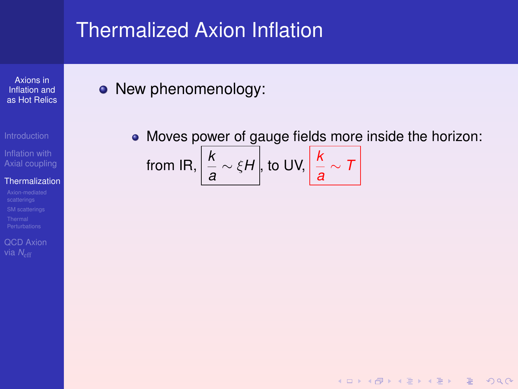Axions in Inflation and [as Hot Relics](#page-0-0)

[Axial coupling](#page-6-0)

#### **[Thermalization](#page-31-0)**

[QCD Axion](#page-87-0)

### <span id="page-35-0"></span>• New phenomenology:

Moves power of gauge fields more inside the horizon: from IR,  $\left|\frac{k}{a} \sim \xi H\right|$ , to UV,  $\left|\frac{k}{a} \sim 7\right|$ 

**KOD KAD KED KED E VAN**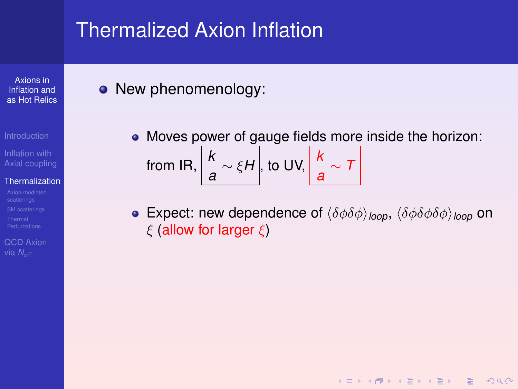Axions in Inflation and [as Hot Relics](#page-0-0)

[Axial coupling](#page-6-0)

#### [Thermalization](#page-31-0)

[QCD Axion](#page-87-0)

#### • New phenomenology:

- Moves power of gauge fields more inside the horizon: from IR,  $\left|\frac{k}{a} \sim \xi H\right|$ , to UV,  $\left|\frac{k}{a} \sim 7\right|$
- **Expect:** new dependence of  $\langle \delta\phi \delta\phi \rangle_{loop}$ ,  $\langle \delta\phi \delta\phi \delta\phi \rangle_{loop}$  on  $\xi$  (allow for larger  $\xi$ )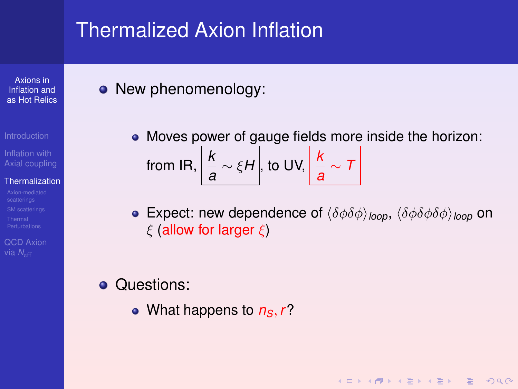Axions in Inflation and [as Hot Relics](#page-0-0)

[Axial coupling](#page-6-0)

#### [Thermalization](#page-31-0)

[QCD Axion](#page-87-0)

• New phenomenology:

- Moves power of gauge fields more inside the horizon: from IR,  $\left|\frac{k}{a} \sim \xi H\right|$ , to UV,  $\left|\frac{k}{a} \sim 7\right|$
- **•** Expect: new dependence of  $\langle \delta\phi \delta\phi \rangle_{\text{loop}}$ ,  $\langle \delta\phi \delta\phi \delta\phi \rangle_{\text{loop}}$  on  $\xi$  (allow for larger  $\xi$ )

KO KA KO KERKER KONG

#### **Questions:**

• What happens to  $n<sub>S</sub>$ ,  $r$ ?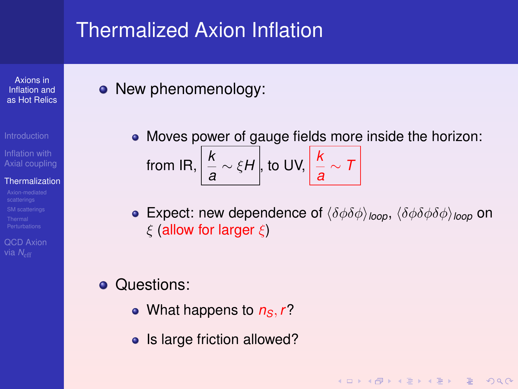Axions in Inflation and [as Hot Relics](#page-0-0)

[Axial coupling](#page-6-0)

#### [Thermalization](#page-31-0)

[QCD Axion](#page-87-0)

<span id="page-38-0"></span>• New phenomenology:

- Moves power of gauge fields more inside the horizon: from IR,  $\left|\frac{k}{a} \sim \xi H\right|$ , to UV,  $\left|\frac{k}{a} \sim 7\right|$
- **•** Expect: new dependence of  $\langle \delta\phi \delta\phi \rangle_{\text{loop}}$ ,  $\langle \delta\phi \delta\phi \delta\phi \rangle_{\text{loop}}$  on  $\xi$  (allow for larger  $\xi$ )

- **Questions:** 
	- What happens to  $n<sub>S</sub>$ ,  $r$ ?
	- Is large friction allowed?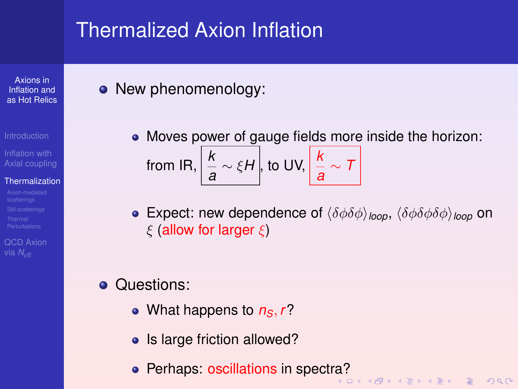Axions in Inflation and [as Hot Relics](#page-0-0)

[Axial coupling](#page-6-0)

#### [Thermalization](#page-31-0)

[QCD Axion](#page-87-0)

• New phenomenology:

- Moves power of gauge fields more inside the horizon: from IR,  $\left|\frac{k}{a} \sim \xi H\right|$ , to UV,  $\left|\frac{k}{a} \sim 7\right|$
- **•** Expect: new dependence of  $\langle \delta\phi \delta\phi \rangle_{\text{loop}}$ ,  $\langle \delta\phi \delta\phi \delta\phi \rangle_{\text{loop}}$  on  $\xi$  (allow for larger  $\xi$ )
- **Questions:** 
	- What happens to  $n<sub>S</sub>$ ,  $r$ ?
	- Is large friction allowed?
	- **Perhaps: oscillations in spect[ra?](#page-38-0)**<br>All a serves in the server in the server in the server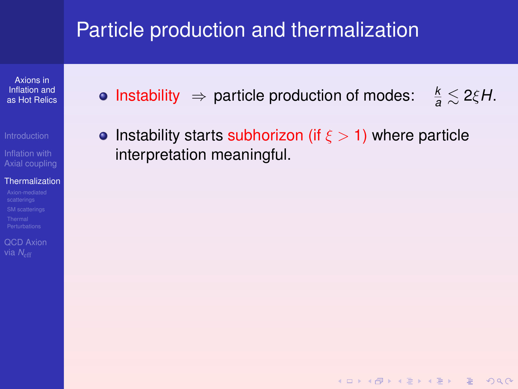# Particle production and thermalization

Axions in Inflation and [as Hot Relics](#page-0-0)

- 
- Inflation with [Axial coupling](#page-6-0)

#### **[Thermalization](#page-31-0)**

- 
- [QCD Axion](#page-87-0)
- Instability  $\Rightarrow$  particle production of modes:  $\frac{k}{a} \lesssim 2\xi H$ .
- Instability starts subhorizon (if  $\xi > 1$ ) where particle interpretation meaningful.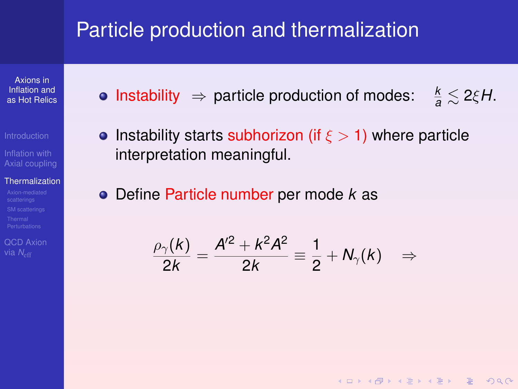## Particle production and thermalization

Axions in Inflation and [as Hot Relics](#page-0-0)

[Axial coupling](#page-6-0)

#### [Thermalization](#page-31-0)

[QCD Axion](#page-87-0)

- Instability  $\Rightarrow$  particle production of modes:  $\frac{k}{a} \lesssim 2\xi H$ .
- **•** Instability starts subhorizon (if  $\xi > 1$ ) where particle interpretation meaningful.
- Define Particle number per mode *k* as

$$
\frac{\rho_{\gamma}(k)}{2k}=\frac{A^{\prime 2}+k^2A^2}{2k}\equiv\frac{1}{2}+N_{\gamma}(k)\quad\Rightarrow\quad
$$

KO KA KO KERKER KONG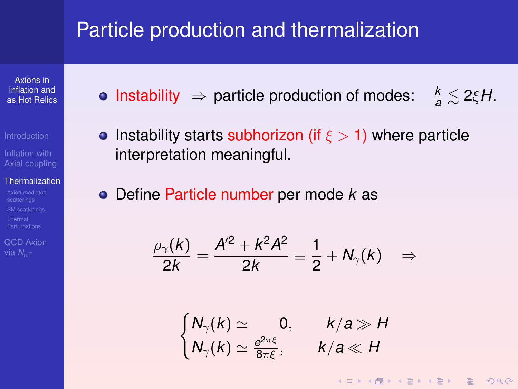## Particle production and thermalization

Axions in Inflation and [as Hot Relics](#page-0-0)

[Axial coupling](#page-6-0)

#### [Thermalization](#page-31-0)

[QCD Axion](#page-87-0)

- Instability  $\Rightarrow$  particle production of modes:  $\frac{k}{a} \lesssim 2\xi H$ .
- **•** Instability starts subhorizon (if  $\xi > 1$ ) where particle interpretation meaningful.
- Define Particle number per mode *k* as

$$
\frac{\rho_{\gamma}(k)}{2k}=\frac{A^{\prime 2}+k^2A^2}{2k}\equiv\frac{1}{2}+N_{\gamma}(k)\quad\Rightarrow\quad
$$

$$
\begin{cases} N_{\gamma}(k) \simeq 0, & k/a \gg H \\ N_{\gamma}(k) \simeq \frac{e^{2\pi\xi}}{8\pi\xi}, & k/a \ll H \end{cases}
$$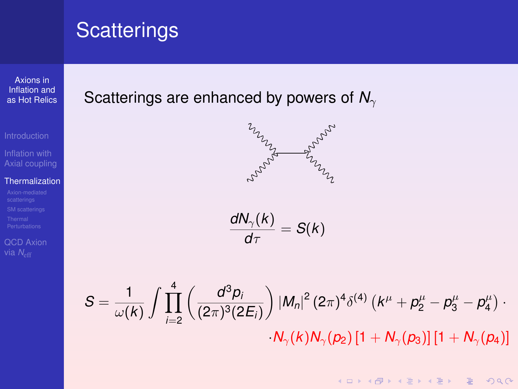Axions in Inflation and [as Hot Relics](#page-0-0)

Inflation with [Axial coupling](#page-6-0)

#### **[Thermalization](#page-31-0)**

[QCD Axion](#page-87-0)

#### Scatterings are enhanced by powers of N<sub>γ</sub>



$$
\frac{dN_{\gamma}(k)}{d\tau}=S(k)
$$

$$
S = \frac{1}{\omega(k)} \int \prod_{i=2}^{4} \left( \frac{d^3 p_i}{(2\pi)^3 (2E_i)} \right) |M_n|^2 (2\pi)^4 \delta^{(4)} (k^{\mu} + p_2^{\mu} - p_3^{\mu} - p_4^{\mu}) \cdot N_{\gamma}(k) N_{\gamma}(p_2) [1 + N_{\gamma}(p_3)] [1 + N_{\gamma}(p_4)]
$$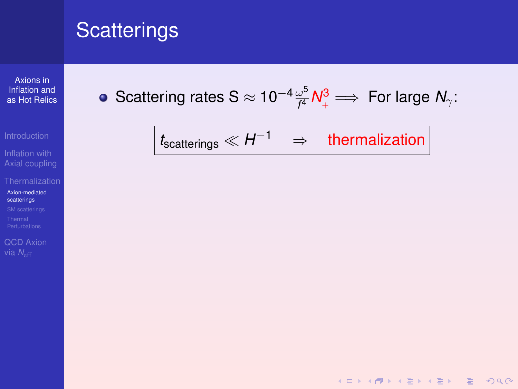Axions in Inflation and [as Hot Relics](#page-0-0)

Inflation with [Axial coupling](#page-6-0)

[Axion-mediated](#page-44-0) scatterings

[QCD Axion](#page-87-0)

<span id="page-44-0"></span>• Scattering rates S 
$$
\approx 10^{-4} \frac{\omega^5}{f^4} N_+^3 \Longrightarrow
$$
 For large  $N_\gamma$ :

$$
t_{scatterings} \ll H^{-1} \quad \Rightarrow \quad \text{thermalization}
$$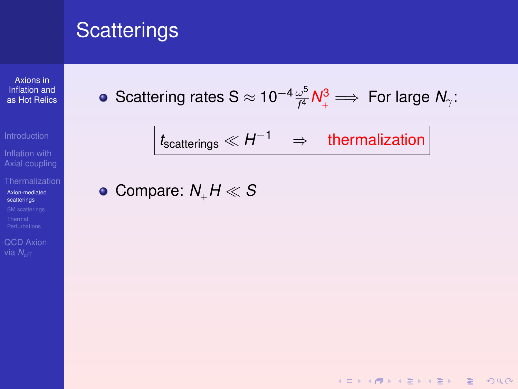Axions in Inflation and [as Hot Relics](#page-0-0)

Inflation with [Axial coupling](#page-6-0)

[Axion-mediated](#page-44-0) scatterings

[QCD Axion](#page-87-0)

• Scattering rates 
$$
S \approx 10^{-4} \frac{\omega^5}{f^4} N_+^3 \implies
$$
 For large  $N_\gamma$ :

$$
t_{scatterings} \ll H^{-1} \quad \Rightarrow \quad \text{thermalization}
$$

K ロ ▶ K @ ▶ K 할 ▶ K 할 ▶ | 할 | © Q Q @

• Compare:  $N_{\perp}H \ll S$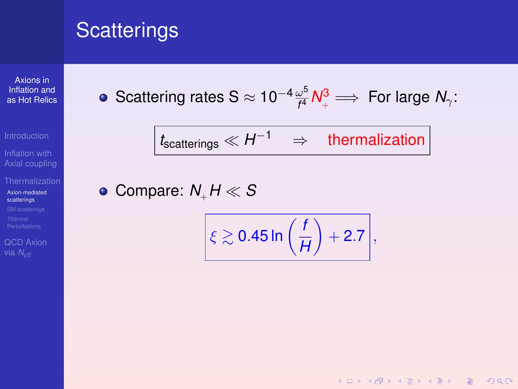Axions in Inflation and [as Hot Relics](#page-0-0)

Inflation with [Axial coupling](#page-6-0)

[Axion-mediated](#page-44-0) scatterings

[QCD Axion](#page-87-0)

• Scattering rates 
$$
S \approx 10^{-4} \frac{\omega^5}{f^4} N_+^3 \implies
$$
 For large  $N_\gamma$ :

$$
t_{scatterings} \ll H^{-1} \quad \Rightarrow \quad \text{thermalization}
$$

• Compare:  $N_{\perp}H \ll S$ 

$$
\xi \gtrsim 0.45 \ln \left( \frac{f}{H} \right) + 2.7,
$$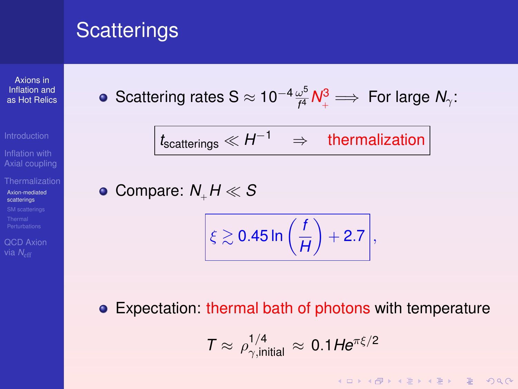Axions in Inflation and [as Hot Relics](#page-0-0)

Inflation with [Axial coupling](#page-6-0)

[Axion-mediated](#page-44-0) scatterings

[QCD Axion](#page-87-0)

• Scattering rates 
$$
S \approx 10^{-4} \frac{\omega^5}{f^4} N_+^3 \implies
$$
 For large  $N_\gamma$ :

$$
\boxed{t_{scatterings} \ll H^{-1}} \quad \Rightarrow \quad \text{thermalization}
$$

• Compare:  $N_{\perp}H \ll S$ 

$$
\xi \gtrsim 0.45 \ln \left( \frac{f}{H} \right) + 2.7,
$$

Expectation: thermal bath of photons with temperature

$$
T \approx \rho_{\gamma, \text{initial}}^{1/4} \approx 0.1 H e^{\pi \xi/2}
$$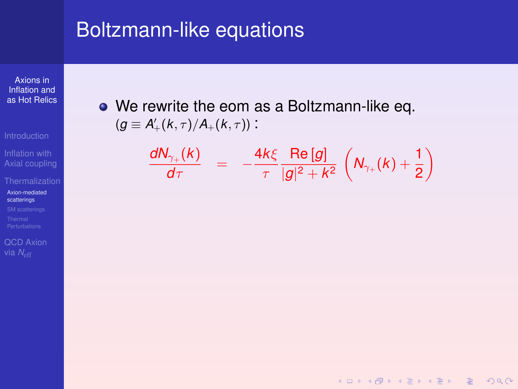#### Boltzmann-like equations

Axions in Inflation and [as Hot Relics](#page-0-0)

Inflation with [Axial coupling](#page-6-0)

[Axion-mediated](#page-44-0) scatterings

[QCD Axion](#page-87-0)

We rewrite the eom as a Boltzmann-like eq.  $(g \equiv A'_{+}(k, \tau) / A_{+}(k, \tau))$ :

$$
\frac{dN_{\gamma_+}(k)}{d\tau} = -\frac{4k\xi}{\tau} \frac{\text{Re }[g]}{|g|^2 + k^2} \left(N_{\gamma_+}(k) + \frac{1}{2}\right)
$$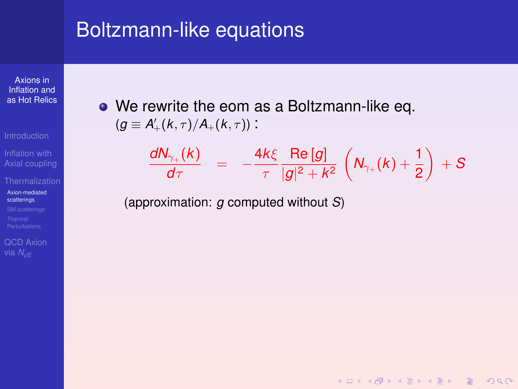#### Boltzmann-like equations

Axions in Inflation and [as Hot Relics](#page-0-0)

[Axial coupling](#page-6-0)

[Axion-mediated](#page-44-0) scatterings

[QCD Axion](#page-87-0)

• We rewrite the eom as a Boltzmann-like eq.  $(g \equiv A'_{+}(k, \tau) / A_{+}(k, \tau))$ :

$$
\frac{dN_{\gamma_+}(k)}{d\tau} = -\frac{4k\xi}{\tau} \frac{\text{Re }[g]}{|g|^2 + k^2} \left(N_{\gamma_+}(k) + \frac{1}{2}\right) + S
$$

**KOD KAD KED KED E VAN** 

(approximation: *g* computed without *S*)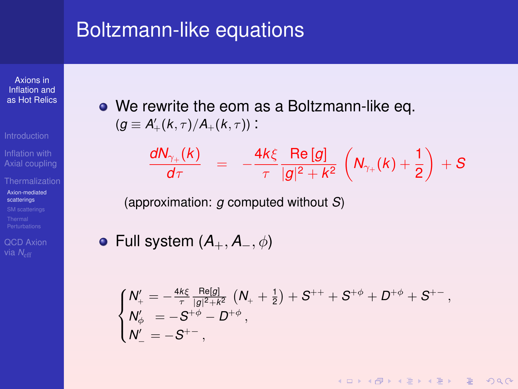#### Boltzmann-like equations

Axions in Inflation and [as Hot Relics](#page-0-0)

[Axial coupling](#page-6-0)

[Axion-mediated](#page-44-0) scatterings

[QCD Axion](#page-87-0)

We rewrite the eom as a Boltzmann-like eq.  $(g \equiv A'_{+}(k, \tau) / A_{+}(k, \tau))$ :

$$
\frac{dN_{\gamma_+}(k)}{d\tau} = -\frac{4k\xi}{\tau} \frac{\text{Re }[g]}{|g|^2 + k^2} \left(N_{\gamma_+}(k) + \frac{1}{2}\right) + S
$$

(approximation: *g* computed without *S*)

Full system (*A*+, *A*−, φ)

$$
\begin{cases} N_+'=-\frac{4k\xi}{\tau}\frac{\text{Re}[g]}{|g|^2+k^2}\left(N_++\frac{1}{2}\right)+S^{++}+S^{+\varphi}+D^{+\varphi}+S^{+-}\,,\\ N_{\varphi}'&=-S^{+\varphi}-D^{+\varphi}\,,\\ N_-'=-S^{+-}\,, \end{cases}
$$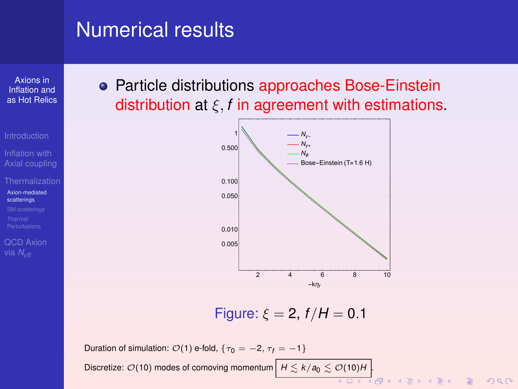# Numerical results

Axions in Inflation and [as Hot Relics](#page-0-0)

[Axial coupling](#page-6-0)

[Axion-mediated](#page-44-0) scatterings

[QCD Axion](#page-87-0)

• Particle distributions approaches Bose-Einstein distribution at ξ, *f* in agreement with estimations.



Figure:  $\xi = 2$ ,  $f/H = 0.1$ 

Duration of simulation:  $\mathcal{O}(1)$  e-fold,  $\{\tau_0 = -2, \tau_f = -1\}$ Discretize:  $\mathcal{O}(10)$  modes of comoving momentum  $H \lesssim k/a_0 \lesssim \mathcal{O}(10)H$ .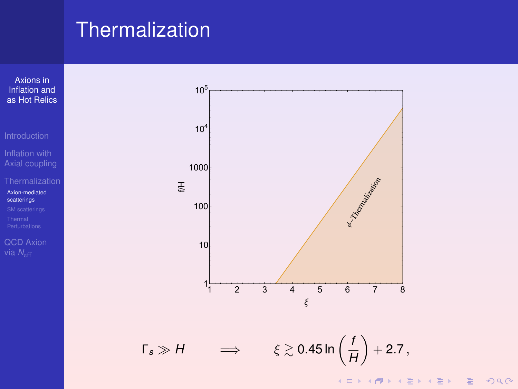### **Thermalization**

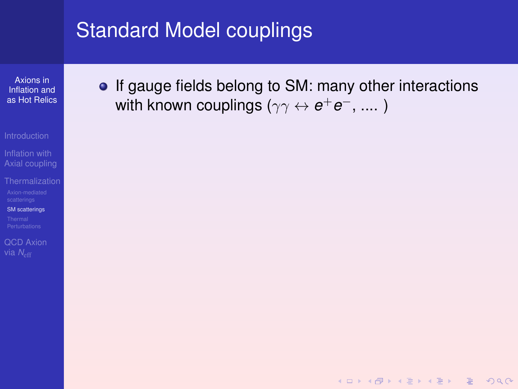Axions in Inflation and [as Hot Relics](#page-0-0)

- 
- [Axial coupling](#page-6-0)
- [SM scatterings](#page-53-0)
- 
- [QCD Axion](#page-87-0)

<span id="page-53-0"></span>• If gauge fields belong to SM: many other interactions with known couplings ( $\gamma\gamma\leftrightarrow {\bm{e^+e^-}},...$  )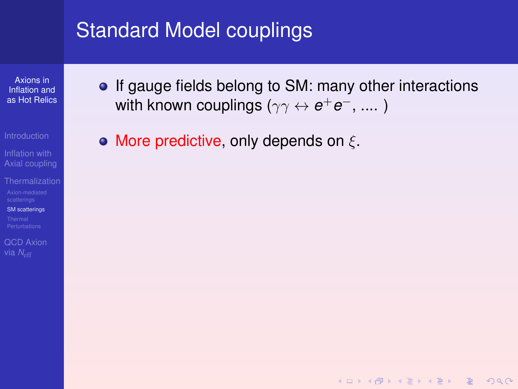Axions in Inflation and [as Hot Relics](#page-0-0)

[Axial coupling](#page-6-0)

[SM scatterings](#page-53-0)

[QCD Axion](#page-87-0)

• If gauge fields belong to SM: many other interactions with known couplings ( $\gamma\gamma\leftrightarrow {\bm{e^+e^-}},...$  )

**KORKARA REAKER ORA** 

• More predictive, only depends on  $\xi$ .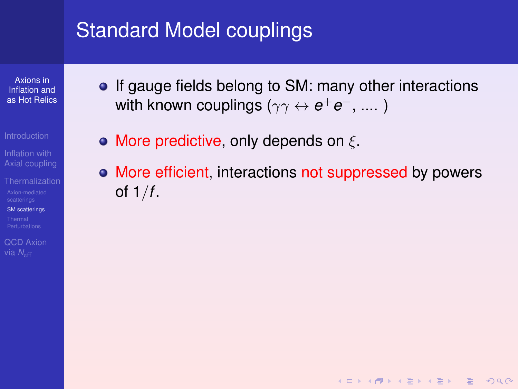Axions in Inflation and [as Hot Relics](#page-0-0)

[Axial coupling](#page-6-0)

[SM scatterings](#page-53-0)

[QCD Axion](#page-87-0) via *N<sub>eff</sub>* 

- If gauge fields belong to SM: many other interactions with known couplings ( $\gamma\gamma\leftrightarrow {\bm{e^+e^-}},...$  )
- More predictive, only depends on  $\xi$ .
- More efficient, interactions not suppressed by powers of 1/*f*.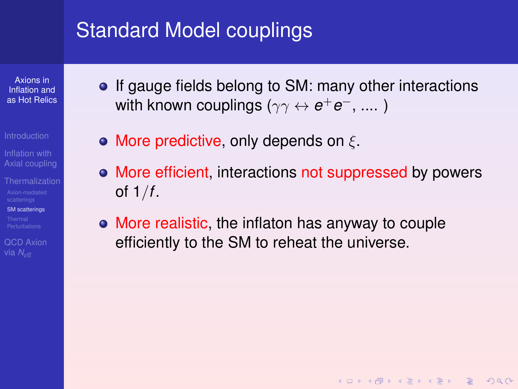Axions in Inflation and [as Hot Relics](#page-0-0)

[Axial coupling](#page-6-0)

[SM scatterings](#page-53-0)

[QCD Axion](#page-87-0) via *N<sub>eff</sub>* 

- If gauge fields belong to SM: many other interactions with known couplings ( $\gamma\gamma\leftrightarrow {\bm{e^+e^-}},...$  )
- More predictive, only depends on  $\xi$ .
- More efficient, interactions not suppressed by powers of 1/*f*.

**KOD KAD KED KED E VAN** 

More realistic, the inflaton has anyway to couple efficiently to the SM to reheat the universe.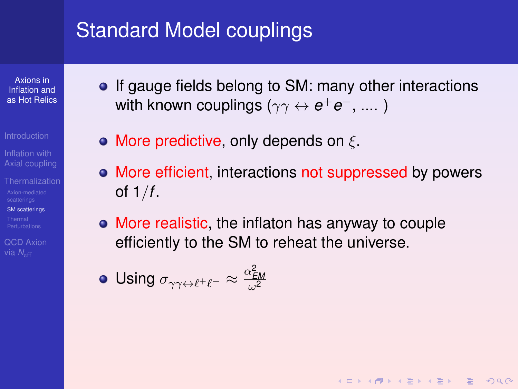Axions in Inflation and [as Hot Relics](#page-0-0)

[Axial coupling](#page-6-0)

[SM scatterings](#page-53-0)

[QCD Axion](#page-87-0) via *N<sub>eff</sub>* 

• If gauge fields belong to SM: many other interactions with known couplings ( $\gamma\gamma\leftrightarrow {\bm{e^+e^-}},...$  )

• More predictive, only depends on  $\xi$ .

• More efficient, interactions not suppressed by powers of 1/*f*.

**KOD KAD KED KED E VAN** 

More realistic, the inflaton has anyway to couple efficiently to the SM to reheat the universe.

Using  $\sigma_{\gamma\gamma\leftrightarrow\ell^+\ell^-}\approx \frac{\alpha_{\textsf{\scriptsize{EM}}}^2}{\omega^2}$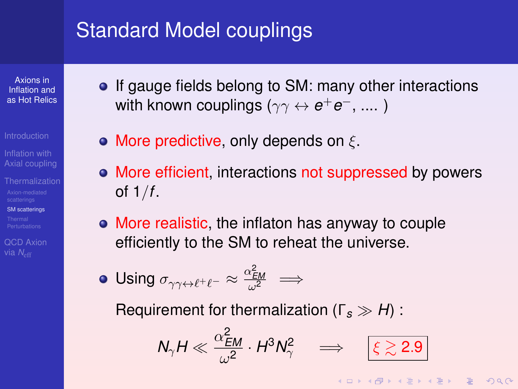Axions in Inflation and [as Hot Relics](#page-0-0)

[Axial coupling](#page-6-0)

[SM scatterings](#page-53-0)

[QCD Axion](#page-87-0) via *N<sub>eff</sub>* 

- If gauge fields belong to SM: many other interactions with known couplings ( $\gamma\gamma\leftrightarrow {\bm{e^+e^-}},...$  )
- More predictive, only depends on  $\xi$ .
- More efficient, interactions not suppressed by powers of 1/*f*.
- More realistic, the inflaton has anyway to couple efficiently to the SM to reheat the universe.

Using  $\sigma_{\gamma\gamma\leftrightarrow\ell^+\ell^-}\approx \frac{\alpha_{EM}^2}{\omega^2}\implies$ 

Requirement for thermalization (Γ*<sup>s</sup> H*) :

$$
N_\gamma H \ll \frac{\alpha_{EM}^2}{\omega^2} \cdot H^3 N_\gamma^2 \quad \implies \quad \boxed{\xi \gtrsim 2.9}
$$

**KORKARA REAKER ORA**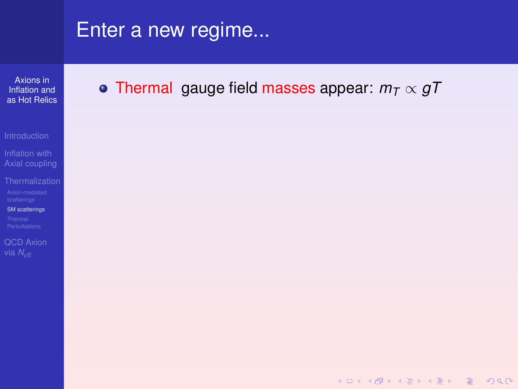Axions in Inflation and [as Hot Relics](#page-0-0)

Inflation with [Axial coupling](#page-6-0)

[SM scatterings](#page-53-0)

[QCD Axion](#page-87-0)

Thermal gauge field masses appear: *m<sup>T</sup>* ∝ *gT*

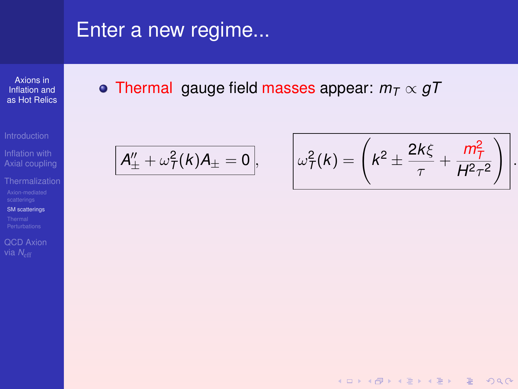Axions in Inflation and [as Hot Relics](#page-0-0)

Inflation with [Axial coupling](#page-6-0)

[SM scatterings](#page-53-0)

[QCD Axion](#page-87-0)

Thermal gauge field masses appear: *m<sup>T</sup>* ∝ *gT*

$$
\mathcal{A}''_{\pm} + \omega^2_{\mathcal{T}}(k)\mathcal{A}_{\pm} = 0, \qquad \bigg|\omega^2_{\mathcal{T}}
$$

$$
\omega_{\overline{I}}^2(k) = \left(k^2 \pm \frac{2k\xi}{\tau} + \frac{m_{\overline{I}}^2}{H^2\tau^2}\right)
$$

**KOD KAD KED KED E VAN** 

.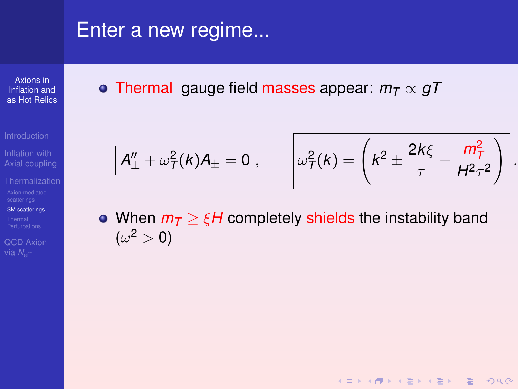Axions in Inflation and [as Hot Relics](#page-0-0)

Inflation with [Axial coupling](#page-6-0)

[SM scatterings](#page-53-0)

[QCD Axion](#page-87-0)

• Thermal gauge field masses appear:  $m<sub>T</sub>$   $\propto$   $qT$ 

$$
\overline{A''_{\pm} + \omega^2_{\mathcal{T}}(k)A_{\pm} = 0}, \qquad \left[\omega^2_{\mathcal{T}}(k) = \left(k^2 \pm \frac{2k\xi}{\tau} + \frac{m_{\mathcal{T}}^2}{H^2 \tau^2}\right)\right]
$$

.

**KORK (FRAGE) KEY GRAN** 

• When  $m<sub>T</sub> > \xi H$  completely shields the instability band  $(\omega^2>0)$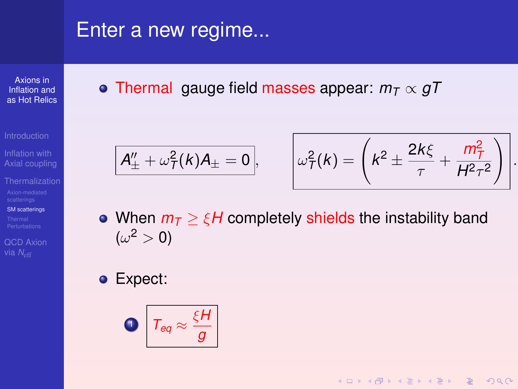Axions in Inflation and [as Hot Relics](#page-0-0)

[Axial coupling](#page-6-0)

[SM scatterings](#page-53-0)

[QCD Axion](#page-87-0)

<span id="page-62-0"></span>• Thermal gauge field masses appear:  $m<sub>T</sub> \propto gT$ 

$$
\overline{A''_{\pm} + \omega^2_{\mathcal{T}}(k)A_{\pm} = 0}, \qquad \left[\omega^2_{\mathcal{T}}(k) = \left(k^2 \pm \frac{2k\xi}{\tau} + \frac{m_{\mathcal{T}}^2}{H^2\tau^2}\right)\right]
$$

.

KO KA KO KERKER KONG

• When  $m<sub>T</sub> > \xi H$  completely shields the instability band  $(\omega^2>0)$ 

Expect:

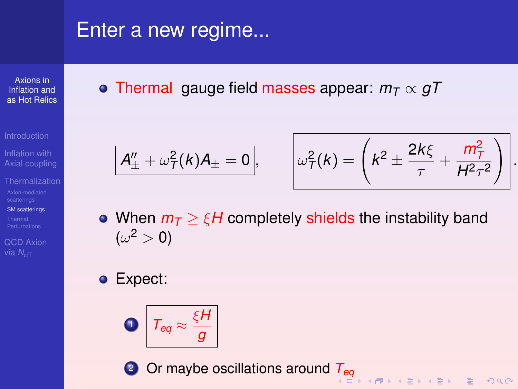Axions in Inflation and [as Hot Relics](#page-0-0)

Inflation with [Axial coupling](#page-6-0)

[SM scatterings](#page-53-0)

[QCD Axion](#page-87-0)

• Thermal gauge field masses appear:  $m<sub>T</sub> \propto gT$ 

$$
\overline{A''_{\pm} + \omega^2_{\mathcal{T}}(k)A_{\pm} = 0}, \qquad \left[\omega^2_{\mathcal{T}}(k) = \left(k^2 \pm \frac{2k\xi}{\tau} + \frac{m_{\mathcal{T}}^2}{H^2\tau^2}\right)\right]
$$

.

 $000$ 

• When  $m<sub>T</sub> > \varepsilon H$  completely shields the instability band  $(\omega^2>0)$ 

Expect:



<sup>2</sup> Or maybe oscillations around *[T](#page-62-0)eq*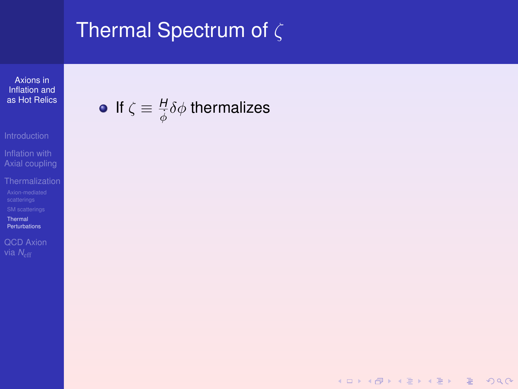# <span id="page-64-0"></span>Thermal Spectrum of  $\zeta$

Axions in Inflation and [as Hot Relics](#page-0-0)

If  $\zeta \equiv \frac{H}{\dot{\phi}} \delta \phi$  thermalizes

KID K@ KKEX KEX E 1090

Inflation with [Axial coupling](#page-6-0)

Thermal

[Perturbations](#page-64-0)

[QCD Axion](#page-87-0)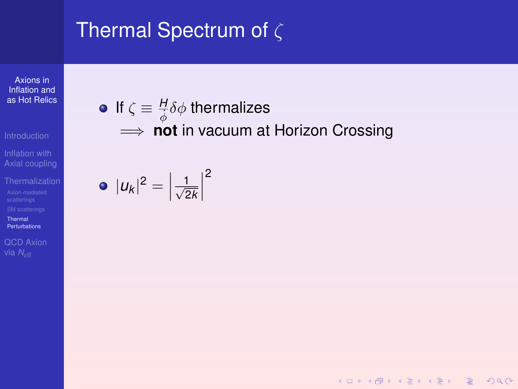Axions in Inflation and [as Hot Relics](#page-0-0)

Inflation with [Axial coupling](#page-6-0)

Thermal [Perturbations](#page-64-0)

[QCD Axion](#page-87-0)

# If  $\zeta \equiv \frac{H}{\dot{\phi}} \delta \phi$  thermalizes  $\implies$  **not** in vacuum at Horizon Crossing

$$
\bullet \, |u_k|^2 = \left|\frac{1}{\sqrt{2k}}\right|^2
$$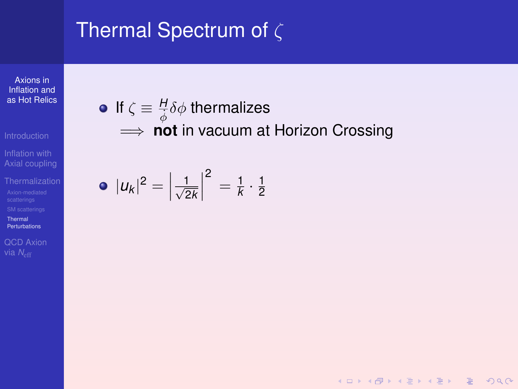Axions in Inflation and [as Hot Relics](#page-0-0)

Inflation with [Axial coupling](#page-6-0)

Thermal [Perturbations](#page-64-0)

[QCD Axion](#page-87-0)

### If  $\zeta \equiv \frac{H}{\dot{\phi}} \delta \phi$  thermalizes  $\implies$  **not** in vacuum at Horizon Crossing

KID K@ KKEX KEX E 1090

$$
\bullet |u_k|^2 = \left|\frac{1}{\sqrt{2k}}\right|^2 = \frac{1}{k} \cdot \frac{1}{2}
$$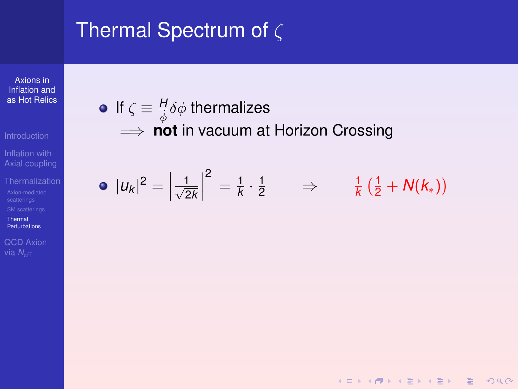Axions in Inflation and [as Hot Relics](#page-0-0)

Inflation with [Axial coupling](#page-6-0)

Thermal [Perturbations](#page-64-0)

[QCD Axion](#page-87-0)

### If  $\zeta \equiv \frac{H}{\dot{\phi}} \delta \phi$  thermalizes  $\implies$  **not** in vacuum at Horizon Crossing

$$
\bullet \, |u_k|^2 = \left|\frac{1}{\sqrt{2k}}\right|^2 = \frac{1}{k} \cdot \frac{1}{2} \qquad \Rightarrow \qquad \frac{1}{k} \left(\frac{1}{2} + N(k_*)\right)
$$

KID K@ KKEX KEX E 1090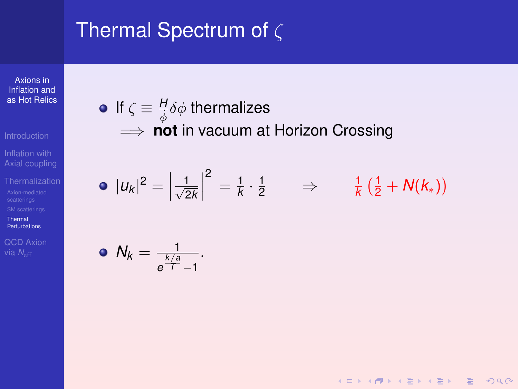Axions in Inflation and [as Hot Relics](#page-0-0)

Inflation with [Axial coupling](#page-6-0)

Thermal [Perturbations](#page-64-0)

[QCD Axion](#page-87-0)

## If  $\zeta \equiv \frac{H}{\dot{\phi}} \delta \phi$  thermalizes  $\implies$  **not** in vacuum at Horizon Crossing

$$
\bullet \, |u_k|^2 = \left|\frac{1}{\sqrt{2k}}\right|^2 = \frac{1}{k} \cdot \frac{1}{2} \qquad \Rightarrow \qquad \frac{1}{k} \left(\frac{1}{2} + N(k_*)\right)
$$

$$
\bullet \ \mathcal{N}_k = \frac{1}{e^{\frac{k/a}{T}}-1}.
$$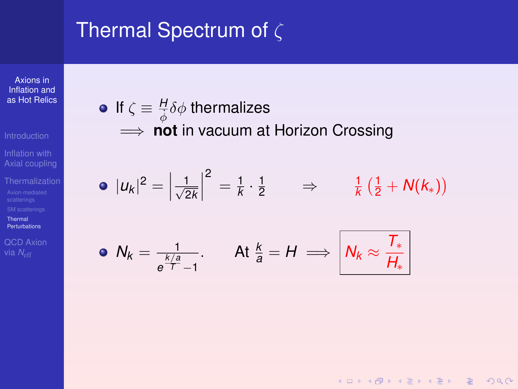Axions in Inflation and [as Hot Relics](#page-0-0)

Inflation with [Axial coupling](#page-6-0)

Thermal [Perturbations](#page-64-0)

[QCD Axion](#page-87-0)

If  $\zeta \equiv \frac{H}{\dot{\phi}} \delta \phi$  thermalizes  $\implies$  **not** in vacuum at Horizon Crossing

$$
\bullet \, |u_k|^2 = \left|\frac{1}{\sqrt{2k}}\right|^2 = \frac{1}{k} \cdot \frac{1}{2} \qquad \Rightarrow \qquad \frac{1}{k} \left(\frac{1}{2} + N(k_*)\right)
$$

• 
$$
N_k = \frac{1}{e^{\frac{k}{T}-1}}
$$
. At  $\frac{k}{a} = H \implies |N_k \approx \frac{T_*}{H_*}|$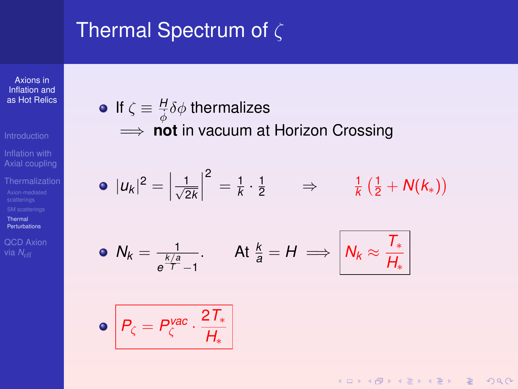Axions in Inflation and [as Hot Relics](#page-0-0)

Inflation with [Axial coupling](#page-6-0)

Thermal [Perturbations](#page-64-0)

[QCD Axion](#page-87-0)

If  $\zeta \equiv \frac{H}{\dot{\phi}} \delta \phi$  thermalizes  $\implies$  **not** in vacuum at Horizon Crossing

$$
\bullet \, |u_k|^2 = \left|\frac{1}{\sqrt{2k}}\right|^2 = \frac{1}{k} \cdot \frac{1}{2} \qquad \Rightarrow \qquad \frac{1}{k} \left(\frac{1}{2} + N(k_*)\right)
$$

• 
$$
N_k = \frac{1}{e^{\frac{k}{T}}-1}
$$
. At  $\frac{k}{a} = H \implies |N_k \approx \frac{T_*}{H_*}|$ 

$$
\bullet \bigg| P_{\zeta} = P_{\zeta}^{\text{vac}} \cdot \frac{2T_*}{H_*}
$$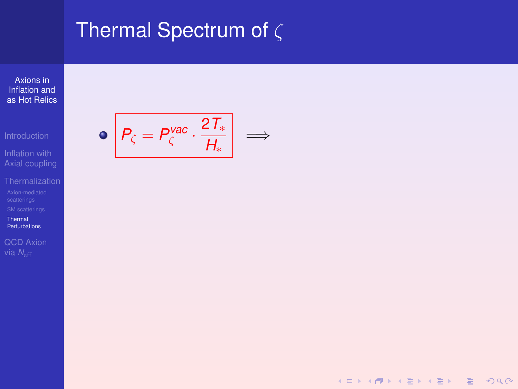## Thermal Spectrum of  $\zeta$

Axions in Inflation and [as Hot Relics](#page-0-0)

Inflation with [Axial coupling](#page-6-0)

Thermal

[Perturbations](#page-64-0)

[QCD Axion](#page-87-0)

 $P_{\zeta} = P_{\zeta}^{\textit{vac}} \cdot \frac{2\mathit{T}_\ast}{H}$  $\frac{1}{H_*}$   $\Rightarrow$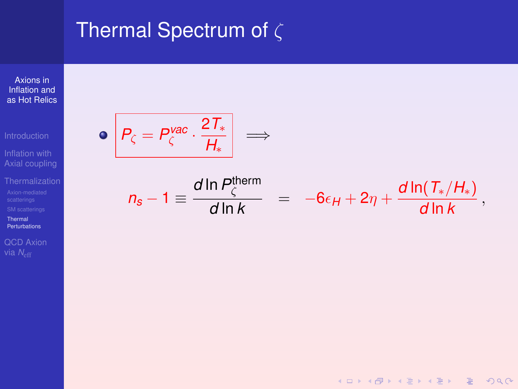#### Thermal Spectrum of  $\zeta$

Axions in Inflation and [as Hot Relics](#page-0-0)

Inflation with [Axial coupling](#page-6-0)

Thermal

[Perturbations](#page-64-0)

[QCD Axion](#page-87-0)

 $P_{\zeta} = P_{\zeta}^{\textit{vac}} \cdot \frac{2\mathit{T}_\ast}{H}$  $\bullet$ =⇒ *H*<sup>∗</sup>

$$
n_s-1 \equiv \frac{d \ln P_{\zeta}^{\text{therm}}}{d \ln k} = -6\epsilon_H + 2\eta + \frac{d \ln(T_*/H_*)}{d \ln k},
$$

K ロ ▶ K @ ▶ K 할 ▶ K 할 ▶ | 할 | © Q Q @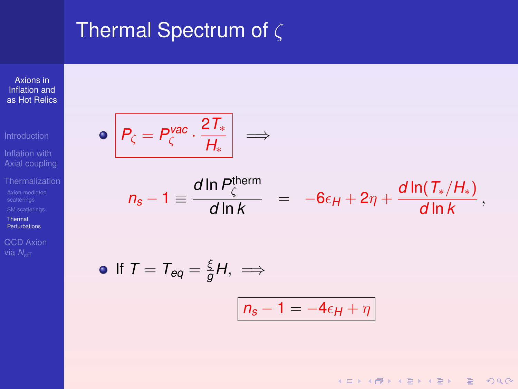#### Thermal Spectrum of  $\zeta$

Axions in Inflation and [as Hot Relics](#page-0-0)

Inflation with [Axial coupling](#page-6-0)

Thermal **[Perturbations](#page-64-0)** 

[QCD Axion](#page-87-0)

$$
\bullet \left| P_{\zeta} = P_{\zeta}^{\text{vac}} \cdot \frac{2T_*}{H_*} \right| \implies
$$

$$
n_s-1 \equiv \frac{d \ln P_{\zeta}^{\text{therm}}}{d \ln k} = -6\epsilon_H + 2\eta + \frac{d \ln(T_*/H_*)}{d \ln k},
$$

KID KAR KID KID KID A DAQ

• If 
$$
T = T_{eq} = \frac{\xi}{g}H
$$
,  $\implies$   

$$
n_s - 1 = -4\epsilon_H + \eta
$$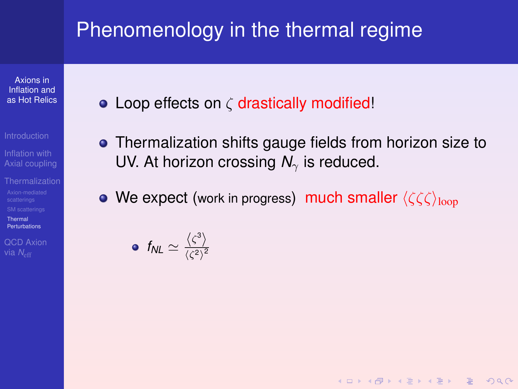Axions in Inflation and [as Hot Relics](#page-0-0)

[Axial coupling](#page-6-0)

Thermal [Perturbations](#page-64-0)

[QCD Axion](#page-87-0) via *N<sub>e</sub>c* 

 $\bullet$  Loop effects on  $\zeta$  drastically modified!

• Thermalization shifts gauge fields from horizon size to UV. At horizon crossing  $N_{\gamma}$  is reduced.

**KORKARA REAKER YOUR** 

• We expect (work in progress) much smaller  $\langle \zeta \zeta \zeta \rangle_{\text{loop}}$ 

 $f_{NL} \simeq \frac{\langle \zeta^3 \rangle}{\langle \zeta^2 \rangle^2}$  $\langle \zeta^2 \rangle^2$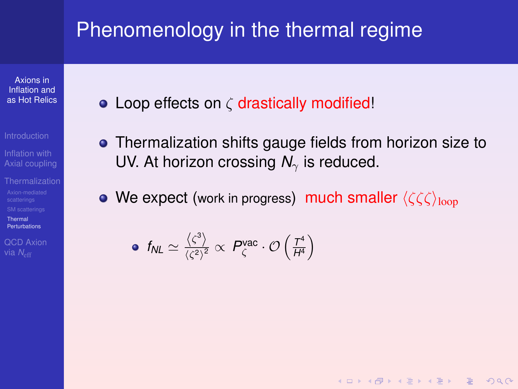Axions in Inflation and [as Hot Relics](#page-0-0)

[Axial coupling](#page-6-0)

Thermal **[Perturbations](#page-64-0)** 

[QCD Axion](#page-87-0) via *N<sub>e</sub>c* 

- $\bullet$  Loop effects on  $\zeta$  drastically modified!
- Thermalization shifts gauge fields from horizon size to UV. At horizon crossing  $N_{\gamma}$  is reduced.

**KOD KAD KED KED E VAN** 

• We expect (work in progress) much smaller  $\langle \zeta \zeta \zeta \rangle_{\text{loop}}$ 

• 
$$
f_{NL} \simeq \frac{\langle \zeta^3 \rangle}{\langle \zeta^2 \rangle^2} \propto P_{\zeta}^{vac} \cdot \mathcal{O}\left(\frac{T^4}{H^4}\right)
$$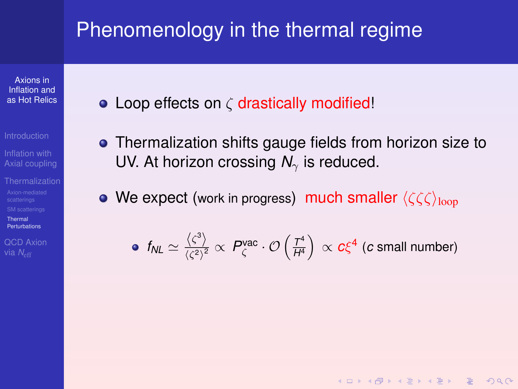Axions in Inflation and [as Hot Relics](#page-0-0)

[Axial coupling](#page-6-0)

Thermal **[Perturbations](#page-64-0)** 

[QCD Axion](#page-87-0) via *N<sub>eff</sub>* 

- $\bullet$  Loop effects on  $\zeta$  drastically modified!
- Thermalization shifts gauge fields from horizon size to UV. At horizon crossing  $N_{\gamma}$  is reduced.

• We expect (work in progress) much smaller  $\langle \zeta \zeta \zeta \rangle_{\text{loop}}$ 

• 
$$
f_{NL} \simeq \frac{\langle \zeta^3 \rangle}{\langle \zeta^2 \rangle^2} \propto P_{\zeta}^{vac} \cdot \mathcal{O}\left(\frac{T^4}{H^4}\right) \propto c \xi^4
$$
 (c small number)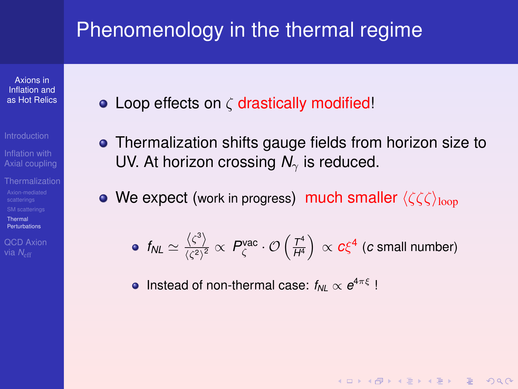Axions in Inflation and [as Hot Relics](#page-0-0)

- 
- [Axial coupling](#page-6-0)
- Thermal **[Perturbations](#page-64-0)**

[QCD Axion](#page-87-0) via *N<sub>e</sub>c* 

- $\bullet$  Loop effects on  $\zeta$  drastically modified!
- Thermalization shifts gauge fields from horizon size to UV. At horizon crossing  $N_{\gamma}$  is reduced.
- We expect (work in progress) much smaller  $\langle \zeta \zeta \zeta \rangle_{\text{loop}}$

• 
$$
f_{NL} \simeq \frac{\langle \zeta^3 \rangle}{\langle \zeta^2 \rangle^2} \propto P_{\zeta}^{vac} \cdot \mathcal{O}\left(\frac{T^4}{H^4}\right) \propto c \xi^4
$$
 (c small number)

**KOD KAD KED KED E VAN** 

Instead of non-thermal case:  $f_{NL} \propto e^{4\pi \xi}$ !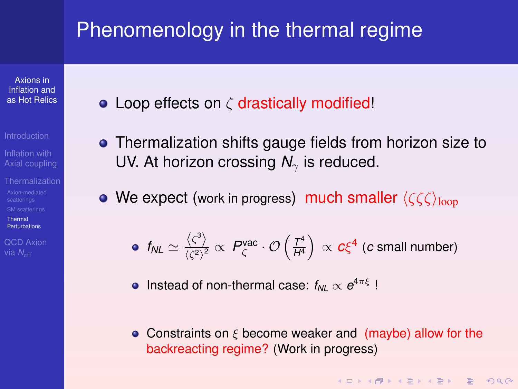Axions in Inflation and [as Hot Relics](#page-0-0)

- 
- [Axial coupling](#page-6-0)
- Thermal **[Perturbations](#page-64-0)**

[QCD Axion](#page-87-0) via *N<sub>eff</sub>* 

- $\bullet$  Loop effects on  $\zeta$  drastically modified!
- Thermalization shifts gauge fields from horizon size to UV. At horizon crossing  $N_{\gamma}$  is reduced.
- We expect (work in progress) much smaller  $\langle \zeta \zeta \zeta \rangle_{\text{loop}}$

• 
$$
f_{NL} \simeq \frac{\langle \zeta^3 \rangle}{\langle \zeta^2 \rangle^2} \propto P_{\zeta}^{vac} \cdot \mathcal{O}\left(\frac{T^4}{H^4}\right) \propto c \xi^4
$$
 (c small number)

- Instead of non-thermal case:  $f_{NL} \propto e^{4\pi \xi}$ !
- Constraints on  $\xi$  become weaker and (maybe) allow for the backreacting regime? (Work in progress)

**KORKARA REAKER YOUR**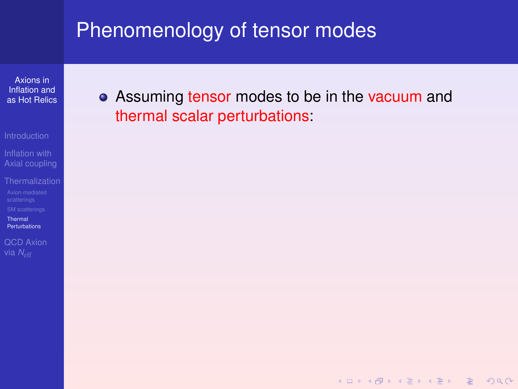### Phenomenology of tensor modes

Axions in Inflation and [as Hot Relics](#page-0-0)

[Axial coupling](#page-6-0)

Thermal **[Perturbations](#page-64-0)** 

[QCD Axion](#page-87-0)

• Assuming tensor modes to be in the vacuum and thermal scalar perturbations: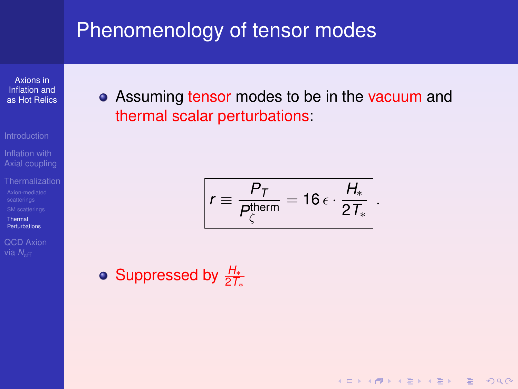### Phenomenology of tensor modes

Axions in Inflation and [as Hot Relics](#page-0-0)

[Axial coupling](#page-6-0)

Thermal

[Perturbations](#page-64-0) [QCD Axion](#page-87-0) **•** Assuming tensor modes to be in the vacuum and thermal scalar perturbations:

$$
r \equiv \frac{P_T}{P_{\zeta}^{\text{therm}}} = 16 \,\epsilon \cdot \frac{H_*}{2 \, T_*} \Bigg|.
$$

KO KA KO KERKER KONG

Suppressed by *<sup>H</sup>*<sup>∗</sup> 2*T*∗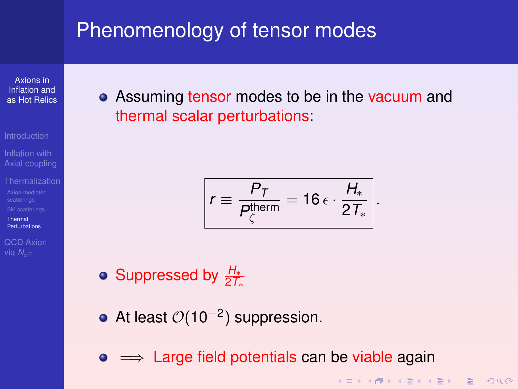### <span id="page-81-0"></span>Phenomenology of tensor modes

Axions in Inflation and [as Hot Relics](#page-0-0)

[Axial coupling](#page-6-0)

Thermal **[Perturbations](#page-64-0)** 

[QCD Axion](#page-87-0)

• Assuming tensor modes to be in the vacuum and thermal scalar perturbations:

$$
r \equiv \frac{P_T}{P_{\zeta}^{\text{therm}}} = 16 \,\epsilon \cdot \frac{H_*}{2 \, T_*}.
$$

- Suppressed by *<sup>H</sup>*<sup>∗</sup> 2*T*∗
- At least  $O(10^{-2})$  suppression.
- $\bullet \implies$  Large field potentials can be viable again

**KORKARA REAKER YOUR**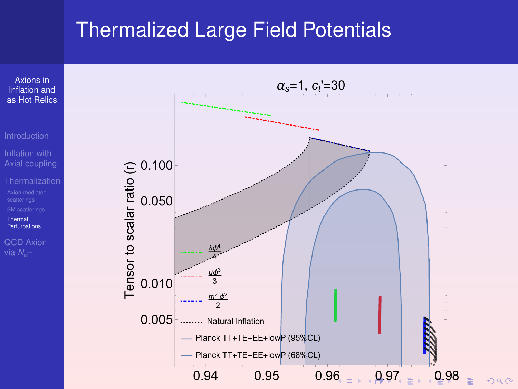#### <span id="page-82-0"></span>Thermalized Large Field Potentials



 $2990$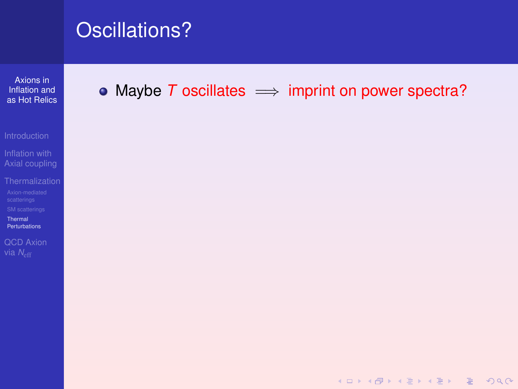Axions in Inflation and as Hot Relics

Inflation with Axial coupling

Thermal

Perturbations QCD Axion

#### <span id="page-83-0"></span>• Maybe  $T$  oscillates  $\implies$  imprint on power spectra?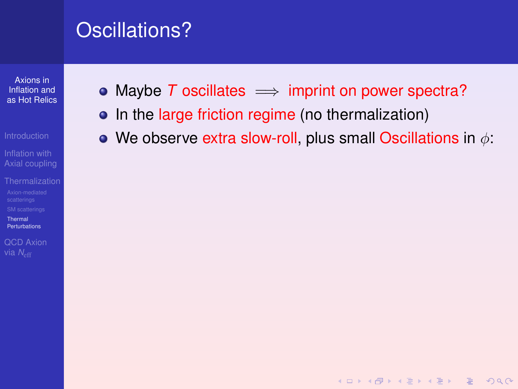Axions in Inflation and as Hot Relics

- 
- Axial coupling
- Thermal
- Perturbations

**OCD Axion** 

- Maybe T oscillates  $\implies$  imprint on power spectra?
- In the large friction regime (no thermalization)
- We observe extra slow-roll, plus small Oscillations in  $\phi$ :

**KOD KARD KED KED BOAR**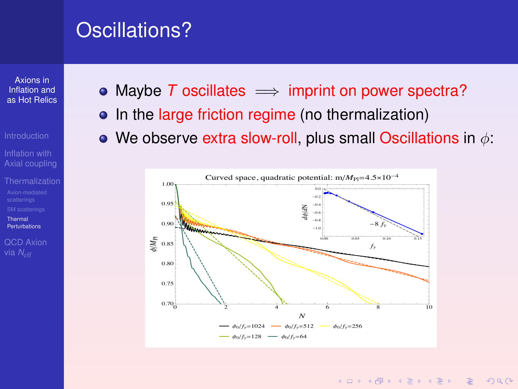Axions in Inflation and as Hot Relics

- 
- Axial coupling
- Thormal
- Perturbations

**OCD Axion** 

- <span id="page-85-0"></span>• Maybe T oscillates  $\implies$  imprint on power spectra?
- In the large friction regime (no thermalization)
- We observe extra slow-roll, plus small Oscillations in  $\phi$ :



**KORKARA REAKER ORA**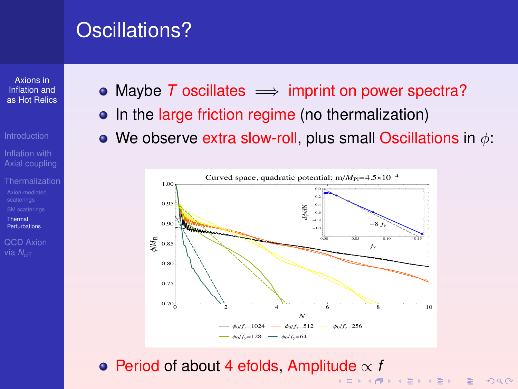Axions in Inflation and as Hot Relics

- 
- Axial coupling
- Thormal
- Perturbations

**OCD Axion** 

- <span id="page-86-0"></span>• Maybe T oscillates  $\implies$  imprint on power spectra?
- In the large friction regime (no thermalization)
- We observe extra slow-roll, plus small Oscillations in  $\phi$ :



• Period of about 4 efolds. Amplitude  $\propto$  f KO KA KO KERKER KONG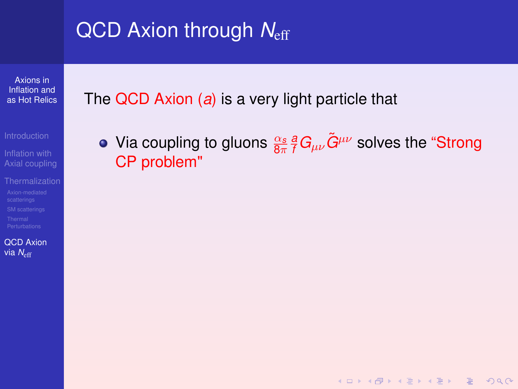Axions in Inflation and [as Hot Relics](#page-0-0)

Inflation with [Axial coupling](#page-6-0)

[QCD Axion](#page-87-0) via N<sub>eff</sub>

<span id="page-87-0"></span>The QCD Axion (*a*) is a very light particle that

Via coupling to gluons  $\frac{\alpha_s}{8\pi}$   $\frac{a}{f}G_{\mu\nu}\tilde{G}^{\mu\nu}$  solves the "Strong CP problem"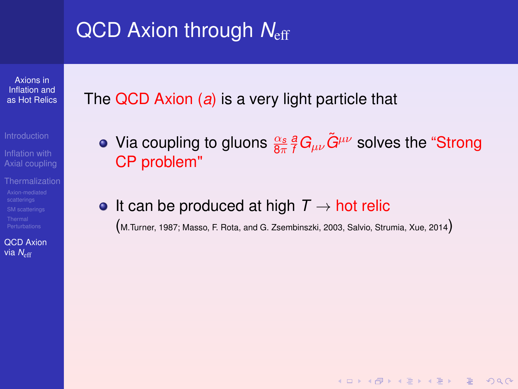Axions in Inflation and [as Hot Relics](#page-0-0)

[Axial coupling](#page-6-0)

[QCD Axion](#page-87-0) via N<sub>eff</sub>

The QCD Axion (*a*) is a very light particle that

Via coupling to gluons  $\frac{\alpha_s}{8\pi}$   $\frac{a}{f}G_{\mu\nu}\tilde{G}^{\mu\nu}$  solves the "Strong CP problem"

• It can be produced at high  $T \rightarrow$  hot relic

(M.Turner, 1987; Masso, F. Rota, and G. Zsembinszki, 2003, Salvio, Strumia, Xue, 2014)

**KORKARA REAKER ORA**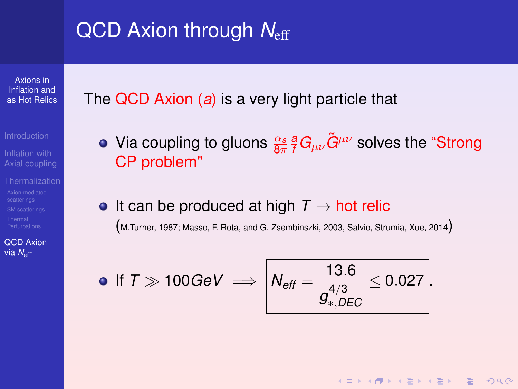Axions in Inflation and [as Hot Relics](#page-0-0)

[Axial coupling](#page-6-0)

[QCD Axion](#page-87-0) via N<sub>eff</sub>

The QCD Axion (*a*) is a very light particle that

- Via coupling to gluons  $\frac{\alpha_s}{8\pi}$   $\frac{a}{f}G_{\mu\nu}\tilde{G}^{\mu\nu}$  solves the "Strong CP problem"
- It can be produced at high  $T \rightarrow$  hot relic (M.Turner, 1987; Masso, F. Rota, and G. Zsembinszki, 2003, Salvio, Strumia, Xue, 2014)

• If 
$$
T \gg 100 \text{GeV} \implies \left| N_{\text{eff}} = \frac{13.6}{g_{*,DEC}^{4/3}} \leq 0.027 \right|.
$$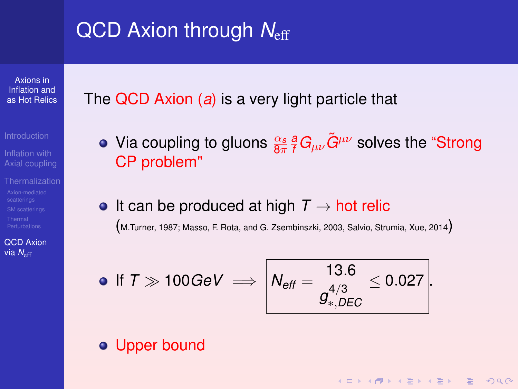Axions in Inflation and [as Hot Relics](#page-0-0)

[Axial coupling](#page-6-0)

[QCD Axion](#page-87-0) via N<sub>eff</sub>

The QCD Axion (*a*) is a very light particle that

- Via coupling to gluons  $\frac{\alpha_s}{8\pi}$   $\frac{a}{f}G_{\mu\nu}\tilde{G}^{\mu\nu}$  solves the "Strong CP problem"
- It can be produced at high  $T \rightarrow$  hot relic (M.Turner, 1987; Masso, F. Rota, and G. Zsembinszki, 2003, Salvio, Strumia, Xue, 2014)

• If 
$$
T \gg 100 \text{GeV} \implies \left| N_{\text{eff}} = \frac{13.6}{g_{*,DEC}^{4/3}} \leq 0.027 \right|
$$
.

**KORKARA REAKER ORA** 

#### **• Upper bound**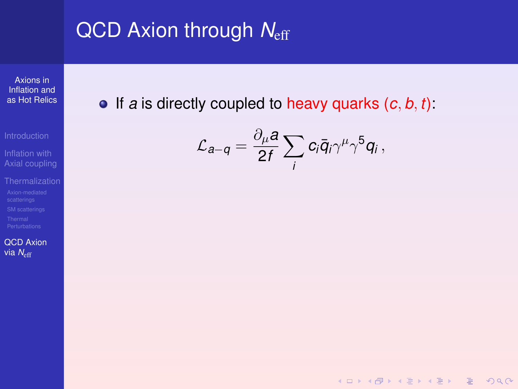Axions in Inflation and [as Hot Relics](#page-0-0)

Inflation with [Axial coupling](#page-6-0)

[QCD Axion](#page-87-0) via N<sub>eff</sub>

 $\bullet$  If *a* is directly coupled to heavy quarks  $(c, b, t)$ :

$$
\mathcal{L}_{a-q} = \frac{\partial_{\mu} a}{2f} \sum_{i} c_{i} \bar{q}_{i} \gamma^{\mu} \gamma^{5} q_{i} ,
$$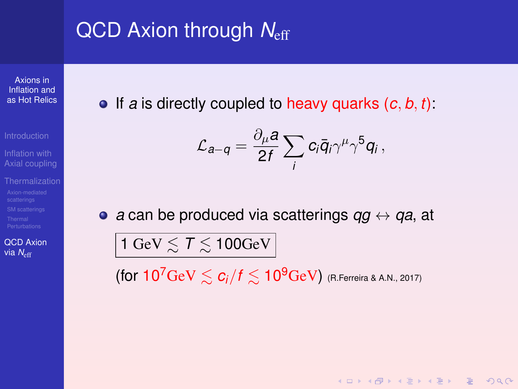Axions in Inflation and [as Hot Relics](#page-0-0)

[Axial coupling](#page-6-0)

[QCD Axion](#page-87-0) via N<sub>eff</sub>

If *a* is directly coupled to heavy quarks (*c*, *b*, *t*):

$$
\mathcal{L}_{a-q} = \frac{\partial_{\mu} a}{2f} \sum_{i} c_{i} \bar{q}_{i} \gamma^{\mu} \gamma^{5} q_{i},
$$

*a* can be produced via scatterings *qg* ↔ *qa*, at

 $\mid$  1 GeV  $\lesssim 7 \lesssim$  100GeV  $\mid$ 

(for  $10^7 \text{GeV} \lesssim c_i/f \lesssim 10^9 \text{GeV}$ ) (R.Ferreira & A.N., 2017)

**KORK (FRAGE) KEY GRAN**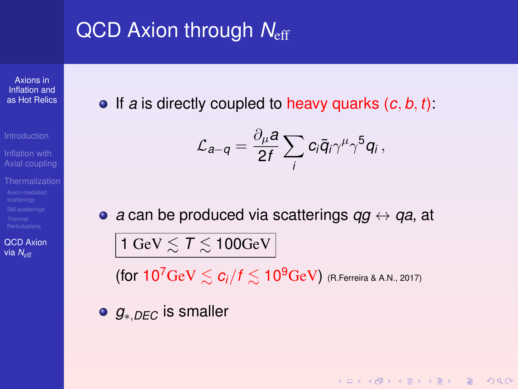Axions in Inflation and [as Hot Relics](#page-0-0)

[Axial coupling](#page-6-0)

[QCD Axion](#page-87-0) via N<sub>eff</sub>

If *a* is directly coupled to heavy quarks (*c*, *b*, *t*):

$$
\mathcal{L}_{a-q} = \frac{\partial_{\mu} a}{2f} \sum_{i} c_{i} \bar{q}_{i} \gamma^{\mu} \gamma^{5} q_{i} ,
$$

*a* can be produced via scatterings *qg* ↔ *qa*, at

 $|1\,{\rm GeV}\lesssim 7 \lesssim 100{\rm GeV}|$ 

(for  $10^7 \text{GeV} \lesssim c_i/f \lesssim 10^9 \text{GeV}$ ) (R.Ferreira & A.N., 2017)

KO KA KO KERKER KONG

*g*∗,*DEC* is smaller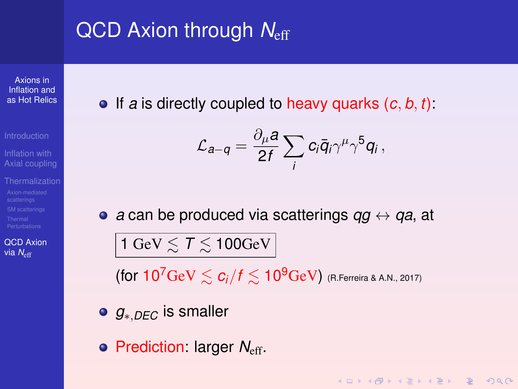Axions in Inflation and [as Hot Relics](#page-0-0)

[Axial coupling](#page-6-0)

[QCD Axion](#page-87-0) via N<sub>eff</sub>

If *a* is directly coupled to heavy quarks (*c*, *b*, *t*):

$$
\mathcal{L}_{a-q} = \frac{\partial_{\mu} a}{2f} \sum_{i} c_{i} \bar{q}_{i} \gamma^{\mu} \gamma^{5} q_{i} ,
$$

*a* can be produced via scatterings *qg* ↔ *qa*, at

 $\mid$  1 GeV  $\lesssim 7 \lesssim$  100GeV  $\mid$ 

(for  $10^7 \text{GeV} \leq c_i/f \leq 10^9 \text{GeV}$ ) (R. Ferreira & A.N., 2017)

KO KA KO KERKER KONG

- *g*∗,*DEC* is smaller
- **Prediction: larger N<sub>eff</sub>.**